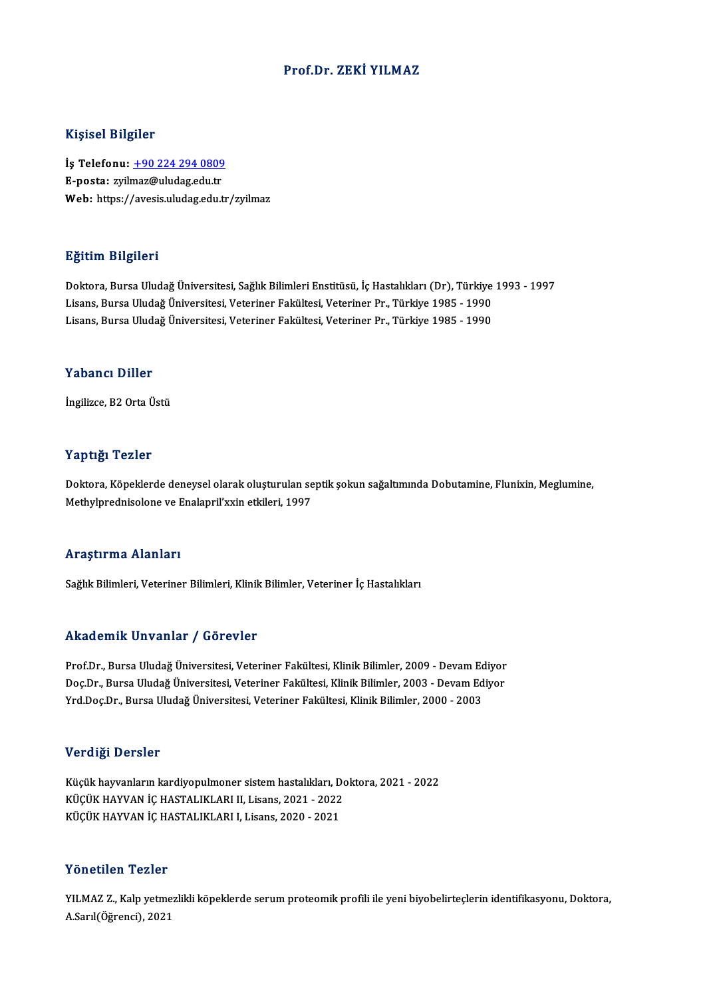#### Prof.Dr. ZEKİ YILMAZ

#### Kişisel Bilgiler

Kişisel Bilgiler<br>İş Telefonu: <u>+90 224 294 0809</u><br>E nosta: <u>wilmaz@uludasedu tr</u> 11131021 D1151101<br>İş Telefonu: <u>+90 224 294 0809</u><br>E-posta: zyil[maz@uludag.edu.tr](tel:+90 224 294 0809) E-posta: zyilmaz@uludag.edu.tr<br>Web: https://avesis.uludag.edu.tr/zyilmaz

### Eğitim Bilgileri

Doktora, Bursa Uludağ Üniversitesi, Sağlık Bilimleri Enstitüsü, İç Hastalıkları (Dr), Türkiye 1993 - 1997 Lisansın Dargırora<br>Doktora, Bursa Uludağ Üniversitesi, Sağlık Bilimleri Enstitüsü, İç Hastalıkları (Dr), Türkiye<br>Lisans, Bursa Uludağ Üniversitesi, Veteriner Fakültesi, Veteriner Pr., Türkiye 1985 - 1990<br>Lisans, Bursa Ulud Doktora, Bursa Uludağ Üniversitesi, Sağlık Bilimleri Enstitüsü, İç Hastalıkları (Dr), Türkiye<br>Lisans, Bursa Uludağ Üniversitesi, Veteriner Fakültesi, Veteriner Pr., Türkiye 1985 - 1990<br>Lisans, Bursa Uludağ Üniversitesi, Ve Lisans, Bursa Uludağ Üniversitesi, Veteriner Fakültesi, Veteriner Pr., Türkiye 1985 - 1990<br>Yabancı Diller

İngilizce, B2 Orta Üstü

#### Yaptığı Tezler

Yaptığı Tezler<br>Doktora, Köpeklerde deneysel olarak oluşturulan septik şokun sağaltımında Dobutamine, Flunixin, Meglumine,<br>Methylpredniselene ve Enalapril'yyin etkileri, 1997 mappaga menom<br>Doktora, Köpeklerde deneysel olarak oluşturulan se<br>Methylprednisolone ve Enalapril'xxin etkileri, 1997 Methylprednisolone ve Enalapril'xxin etkileri, 1997<br>Araştırma Alanları

Sağlık Bilimleri, Veteriner Bilimleri, Klinik Bilimler, Veteriner İç Hastalıkları

#### Akademik Unvanlar / Görevler

Akademik Unvanlar / Görevler<br>Prof.Dr., Bursa Uludağ Üniversitesi, Veteriner Fakültesi, Klinik Bilimler, 2009 - Devam Ediyor<br>Des Dr., Bursa Uludağ Üniversitesi Veteriner Fakültesi, Klinik Bilimler, 2003 - Devam Ediyor rrittat Erik Erikanınar 7 deri Evrer<br>Prof.Dr., Bursa Uludağ Üniversitesi, Veteriner Fakültesi, Klinik Bilimler, 2009 - Devam Ediyor<br>Doç.Dr., Bursa Uludağ Üniversitesi, Veteriner Fakültesi, Klinik Bilimler, 2003 - Devam Edi Prof.Dr., Bursa Uludağ Üniversitesi, Veteriner Fakültesi, Klinik Bilimler, 2009 - Devam Ed<br>Doç.Dr., Bursa Uludağ Üniversitesi, Veteriner Fakültesi, Klinik Bilimler, 2003 - Devam Ed<br>Yrd.Doç.Dr., Bursa Uludağ Üniversitesi, V Yrd.Doç.Dr., Bursa Uludağ Üniversitesi, Veteriner Fakültesi, Klinik Bilimler, 2000 - 2003<br>Verdiği Dersler

Küçük hayvanların kardiyopulmoner sistem hastalıkları, Doktora, 2021 - 2022 VETER DETER<br>Küçük hayvanların kardiyopulmoner sistem hastalıkları, Do<br>KÜÇÜK HAYVAN İÇ HASTALIKLARI II, Lisans, 2021 - 2022<br>KÜÇÜK HAYVAN İÇ HASTALIKLARI I Lisans, 2020 - 2021 Küçük hayvanların kardiyopulmoner sistem hastalıkları, D<br>KÜÇÜK HAYVAN İÇ HASTALIKLARI II, Lisans, 2021 - 2022<br>KÜÇÜK HAYVAN İÇ HASTALIKLARI I, Lisans, 2020 - 2021 KÜÇÜK HAYVAN İÇ HASTALIKLARI I, Lisans, 2020 - 2021<br>Yönetilen Tezler

Yönetilen Tezler<br>YILMAZ Z., Kalp yetmezlikli köpeklerde serum proteomik profili ile yeni biyobelirteçlerin identifikasyonu, Doktora,<br>A Sarl(Öğrensi), 2021 1 ƏHƏLIYƏN 1 ƏHƏL<br>YILMAZ Z., Kalp yetme<br>A.Sarıl(Öğrenci), 2021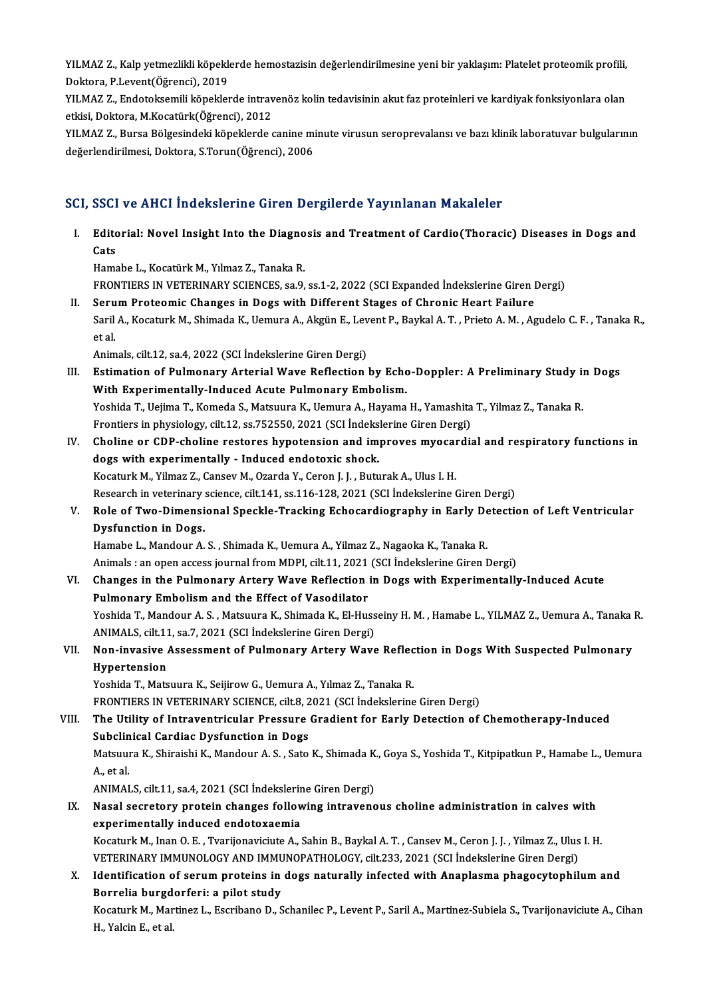YILMAZ Z., Kalp yetmezlikli köpeklerde hemostazisin değerlendirilmesine yeni bir yaklaşım: Platelet proteomik profili,<br>Pektara, B.Levent(Öğrensi), 2019 YILMAZ Z., Kalp yetmezlikli köpeklı<br>Doktora, P.Levent(Öğrenci), 2019<br>VILMAZ Z., Endeteksemili könekler YILMAZ Z., Kalp yetmezlikli köpeklerde hemostazisin değerlendirilmesine yeni bir yaklaşım: Platelet proteomik profili,<br>Doktora, P.Levent(Öğrenci), 2019<br>YILMAZ Z., Endotoksemili köpeklerde intravenöz kolin tedavisinin akut

Doktora, P.Levent(Öğrenci), 2019<br>YILMAZ Z., Endotoksemili köpeklerde intravenöz kolin tedavisinin akut faz proteinleri ve kardiyak fonksiyonlara olan<br>etkisi, Doktora, M.Kocatürk(Öğrenci), 2012 YILMAZ Z., Endotoksemili köpeklerde intravenöz kolin tedavisinin akut faz proteinleri ve kardiyak fonksiyonlara olan<br>etkisi, Doktora, M.Kocatürk(Öğrenci), 2012<br>YILMAZ Z., Bursa Bölgesindeki köpeklerde canine minute virusun

etkisi, Doktora, M.Kocatürk(Öğrenci), 2012<br>YILMAZ Z., Bursa Bölgesindeki köpeklerde canine mi<br>değerlendirilmesi, Doktora, S.Torun(Öğrenci), 2006

# değerlendirilmesi, Doktora, S.Torun(Öğrenci), 2006<br>SCI, SSCI ve AHCI İndekslerine Giren Dergilerde Yayınlanan Makaleler

CI, SSCI ve AHCI İndekslerine Giren Dergilerde Yayınlanan Makaleler<br>I. Editorial: Novel Insight Into the Diagnosis and Treatment of Cardio(Thoracic) Diseases in Dogs and<br>Cats bbur<br>Edito<br>Cats Editorial: Novel Insight Into the Diagno<br>Cats<br>Hamabe L., Kocatürk M., Yılmaz Z., Tanaka R.<br>EPONTIEDS IN VETERINARY SCIENCES SO 0. Gats<br>Hamabe L., Kocatürk M., Yılmaz Z., Tanaka R.<br>FRONTIERS IN VETERINARY SCIENCES, sa.9, ss.1-2, 2022 (SCI Expanded İndekslerine Giren Dergi) Hamabe L., Kocatürk M., Yılmaz Z., Tanaka R.<br>FRONTIERS IN VETERINARY SCIENCES, sa.9, ss.1-2, 2022 (SCI Expanded Indekslerine Giren I<br>II. Serum Proteomic Changes in Dogs with Different Stages of Chronic Heart Failure<br>Saril Saril A., Kocaturk M., Shimada K., Uemura A., Akgün E., Levent P., Baykal A. T. , Prieto A. M. , Agudelo C. F. , Tanaka R.,<br>et al. Seru<br>Saril<br>et al. Animals, cilt.12, sa.4, 2022 (SCI İndekslerine Giren Dergi) III. Estimation of Pulmonary Arterial Wave Reflection by Echo-Doppler: A Preliminary Study in Dogs With Experimentally-Induced Acute Pulmonary Embolism. Estimation of Pulmonary Arterial Wave Reflection by Echo-Doppler: A Preliminary Study in<br>With Experimentally-Induced Acute Pulmonary Embolism.<br>Yoshida T., Uejima T., Komeda S., Matsuura K., Uemura A., Hayama H., Yamashita With Experimentally-Induced Acute Pulmonary Embolism.<br>Yoshida T., Uejima T., Komeda S., Matsuura K., Uemura A., Hayama H., Yamashita<br>Frontiers in physiology, cilt.12, ss.752550, 2021 (SCI İndekslerine Giren Dergi)<br>Chaline Yoshida T., Uejima T., Komeda S., Matsuura K., Uemura A., Hayama H., Yamashita T., Yilmaz Z., Tanaka R.<br>Frontiers in physiology, cilt.12, ss.752550, 2021 (SCI Indekslerine Giren Dergi)<br>IV. Choline or CDP-choline restores h Frontiers in physiology, cilt.12, ss.752550, 2021 (SCI Indeks<br>Choline or CDP-choline restores hypotension and im<br>dogs with experimentally - Induced endotoxic shock.<br>Kosaturk M. Vilmar 7, Cancey M. Orarda V. Cance J. J. But Choline or CDP-choline restores hypotension and improves myocal<br>dogs with experimentally - Induced endotoxic shock.<br>Kocaturk M., Yilmaz Z., Cansev M., Ozarda Y., Ceron J. J. , Buturak A., Ulus I. H.<br>Besearsh in veterinary dogs with experimentally - Induced endotoxic shock.<br>Kocaturk M., Yilmaz Z., Cansev M., Ozarda Y., Ceron J. J. , Buturak A., Ulus I. H.<br>Research in veterinary science, cilt.141, ss.116-128, 2021 (SCI İndekslerine Giren Derg Kocaturk M., Yilmaz Z., Cansev M., Ozarda Y., Ceron J. J. , Buturak A., Ulus I. H.<br>Research in veterinary science, cilt.141, ss.116-128, 2021 (SCI İndekslerine Giren Dergi)<br>V. Role of Two-Dimensional Speckle-Tracking E Research in veterinary<br>Role of Two-Dimensi<br>Dysfunction in Dogs.<br>Hamaba I. Mandour A Role of Two-Dimensional Speckle-Tracking Echocardiography in Early De<br>Dysfunction in Dogs.<br>Hamabe L., Mandour A. S. , Shimada K., Uemura A., Yilmaz Z., Nagaoka K., Tanaka R.<br>Animala : en enen access journal from MDBL silt Dysfunction in Dogs.<br>Hamabe L., Mandour A. S. , Shimada K., Uemura A., Yilmaz Z., Nagaoka K., Tanaka R.<br>Animals : an open access journal from MDPI, cilt.11, 2021 (SCI İndekslerine Giren Dergi)<br>Changes in the Bulmanany Arto Hamabe L., Mandour A. S. , Shimada K., Uemura A., Yilmaz Z., Nagaoka K., Tanaka R.<br>Animals : an open access journal from MDPI, cilt.11, 2021 (SCI Indekslerine Giren Dergi)<br>VI. Changes in the Pulmonary Artery Wave Reflectio Animals : an open access journal from MDPI, cilt.11, 2021<br>Changes in the Pulmonary Artery Wave Reflection<br>Pulmonary Embolism and the Effect of Vasodilator<br>Veshida T. Mandour A. S., Matauune K., Shimada K., El Hue Changes in the Pulmonary Artery Wave Reflection in Dogs with Experimentally-Induced Acute<br>Pulmonary Embolism and the Effect of Vasodilator<br>Yoshida T., Mandour A. S. , Matsuura K., Shimada K., El-Husseiny H. M. , Hamabe L., Pulmonary Embolism and the Effect of Vasodilator<br>Yoshida T., Mandour A. S. , Matsuura K., Shimada K., El-Huss<br>ANIMALS, cilt.11, sa.7, 2021 (SCI İndekslerine Giren Dergi)<br>Nan invasive Assessment of Bulmonary Artery Ways Yoshida T., Mandour A. S. , Matsuura K., Shimada K., El-Husseiny H. M. , Hamabe L., YILMAZ Z., Uemura A., Tanaka<br>ANIMALS, cilt.11, sa.7, 2021 (SCI İndekslerine Giren Dergi)<br>VII. Non-invasive Assessment of Pulmonary Art ANIMALS, cilt.11<br>Non-invasive<br>Hypertension<br><sup>Vochido T.</sup> Mate Non-invasive Assessment of Pulmonary Artery Wave Reflec<br>Hypertension<br>Yoshida T., Matsuura K., Seijirow G., Uemura A., Yılmaz Z., Tanaka R.<br>EPONTIERS IN VETERINARY SCIENCE. silt 9, 2021. (SCI İndekslering Hypertension<br>Yoshida T., Matsuura K., Seijirow G., Uemura A., Yılmaz Z., Tanaka R.<br>FRONTIERS IN VETERINARY SCIENCE, cilt.8, 2021 (SCI İndekslerine Giren Dergi) Yoshida T., Matsuura K., Seijirow G., Uemura A., Yılmaz Z., Tanaka R.<br>FRONTIERS IN VETERINARY SCIENCE, cilt.8, 2021 (SCI İndekslerine Giren Dergi)<br>VIII. The Utility of Intraventricular Pressure Gradient for Early Detec FRONTIERS IN VETERINARY SCIENCE, cilt.8, 2<br>The Utility of Intraventricular Pressure<br>Subclinical Cardiac Dysfunction in Dogs<br>Matauura K. Shinaishi K. Mandour A. S. Sate The Utility of Intraventricular Pressure Gradient for Early Detection of Chemotherapy-Induced<br>Subclinical Cardiac Dysfunction in Dogs<br>Matsuura K., Shiraishi K., Mandour A. S. , Sato K., Shimada K., Goya S., Yoshida T., Kit Subcli<mark>n</mark><br>Matsuul<br>A., et al.<br>ANIMAL Matsuura K., Shiraishi K., Mandour A. S. , Sato K., Shimada K<br>A., et al.<br>ANIMALS, cilt.11, sa.4, 2021 (SCI İndekslerine Giren Dergi)<br>Nasal segretoru protain shanges fallowing intravang A., et al.<br>ANIMALS, cilt.11, sa.4, 2021 (SCI İndekslerine Giren Dergi)<br>IX. Nasal secretory protein changes following intravenous choline administration in calves with<br>experimentally indused endetaysemia ANIMALS, cilt.11, sa.4, 2021 (SCI İndekslerin<br>Nasal secretory protein changes follow<br>experimentally induced endotoxaemia<br>Kessturk M. Inan O. E., Tyanijanavisiyte A. ( Nasal secretory protein changes following intravenous choline administration in calves with<br>experimentally induced endotoxaemia<br>Kocaturk M., Inan O. E. , Tvarijonaviciute A., Sahin B., Baykal A. T. , Cansev M., Ceron J. J. experimentally induced endotoxaemia<br>Kocaturk M., Inan O. E. , Tvarijonaviciute A., Sahin B., Baykal A. T. , Cansev M., Ceron J. J. , Yilmaz Z., Ulus I. H.<br>VETERINARY IMMUNOLOGY AND IMMUNOPATHOLOGY, cilt.233, 2021 (SCI İnde Kocaturk M., Inan O. E. , Tvarijonaviciute A., Sahin B., Baykal A. T. , Cansev M., Ceron J. J. , Yilmaz Z., Ulus I. H.<br>VETERINARY IMMUNOLOGY AND IMMUNOPATHOLOGY, cilt.233, 2021 (SCI İndekslerine Giren Dergi)<br>X. Identificat VETERINARY IMMUNOLOGY AND IMMU<br>Identification of serum proteins in<br>Borrelia burgdorferi: a pilot study<br>Kessturk M. Mertiner L. Escribane D. S Kocaturk M., Martinez L., Escribano D., Schanilec P., Levent P., Saril A., Martinez-Subiela S., Tvarijonaviciute A., Cihan<br>H., Yalcin E., et al. Borrelia burgdorferi: a pilot study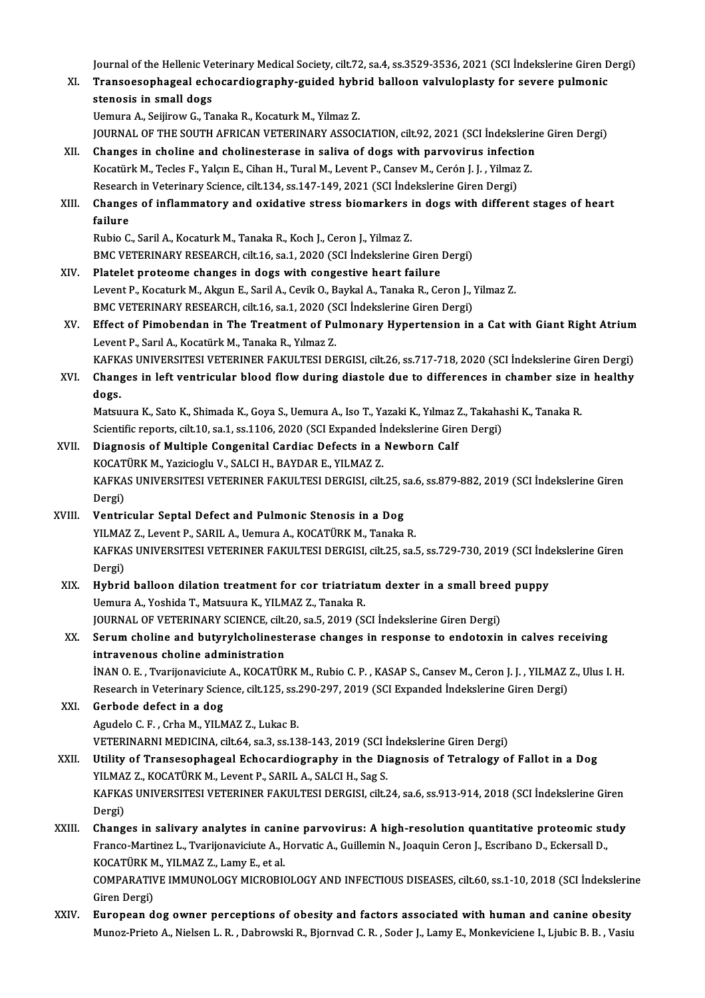Journal of the Hellenic Veterinary Medical Society, cilt.72, sa.4, ss.3529-3536, 2021 (SCI İndekslerine Giren Dergi)<br>Transaceanhageal sehesardiagraphy guided buhrid helleen valyylenlesty for severe pulmenis

- Journal of the Hellenic Veterinary Medical Society, cilt.72, sa.4, ss.3529-3536, 2021 (SCI İndekslerine Giren D<br>XI. Transoesophageal echocardiography-guided hybrid balloon valvuloplasty for severe pulmonic Journal of the Hellenic Ve<br>Transoesophageal ech<br>stenosis in small dogs<br>Hamure A. Seijinew C. To XI. Transoesophageal echocardiography-guided hybrid balloon valvuloplasty for severe pulmonic<br>stenosis in small dogs<br>Uemura A., Seijirow G., Tanaka R., Kocaturk M., Yilmaz Z.
	-

JOURNAL OF THE SOUTH AFRICAN VETERINARY ASSOCIATION, cilt.92, 2021 (SCI İndekslerine Giren Dergi)

XII. Changes in choline and cholinesterase in saliva of dogs with parvovirus infection JOURNAL OF THE SOUTH AFRICAN VETERINARY ASSOCIATION, cilt.92, 2021 (SCI İndeksleri<br>Changes in choline and cholinesterase in saliva of dogs with parvovirus infection<br>Kocatürk M., Tecles F., Yalçın E., Cihan H., Tural M., Le Changes in choline and cholinesterase in saliva of dogs with parvovirus infecti<br>Kocatürk M., Tecles F., Yalçın E., Cihan H., Tural M., Levent P., Cansev M., Cerón J. J. , Yilmaz<br>Research in Veterinary Science, cilt.134, ss Research in Veterinary Science, cilt.134, ss.147-149, 2021 (SCI Indekslerine Giren Dergi)

# XIII. Changes of inflammatory and oxidative stress biomarkers in dogs with different stages of heart failure

Rubio C., Saril A., Kocaturk M., Tanaka R., Koch J., Ceron J., Yilmaz Z. BMC VETERINARY RESEARCH, cilt.16, sa.1, 2020 (SCI İndekslerine Giren Dergi)

- XIV. Platelet proteome changes in dogs with congestive heart failure BMC VETERINARY RESEARCH, cilt.16, sa.1, 2020 (SCI İndekslerine Giren Dergi)<br>Platelet proteome changes in dogs with congestive heart failure<br>Levent P., Kocaturk M., Akgun E., Saril A., Cevik O., Baykal A., Tanaka R., Ceron Platelet proteome changes in dogs with congestive heart failure<br>Levent P., Kocaturk M., Akgun E., Saril A., Cevik O., Baykal A., Tanaka R., Ceron J., `<br>BMC VETERINARY RESEARCH, cilt.16, sa.1, 2020 (SCI İndekslerine Giren D Levent P., Kocaturk M., Akgun E., Saril A., Cevik O., Baykal A., Tanaka R., Ceron J., Yilmaz Z.<br>BMC VETERINARY RESEARCH, cilt.16, sa.1, 2020 (SCI İndekslerine Giren Dergi)<br>XV. Effect of Pimobendan in The Treatment of Pulmo
- BMC VETERINARY RESEARCH, cilt.16, sa.1, 2020 (SCI İndekslerine Giren Dergi)<br>Effect of Pimobendan in The Treatment of Pulmonary Hypertension in a Cat with Giant Right Atrium<br>Levent P., Sarıl A., Kocatürk M., Tanaka R., Yılm Effect of Pimobendan in The Treatment of Pulmonary Hypertension in a Cat with Giant Right Atrium<br>Levent P., Sarıl A., Kocatürk M., Tanaka R., Yılmaz Z.<br>KAFKAS UNIVERSITESI VETERINER FAKULTESI DERGISI, cilt.26, ss.717-718,
- Levent P., Sarıl A., Kocatürk M., Tanaka R., Yılmaz Z.<br>KAFKAS UNIVERSITESI VETERINER FAKULTESI DERGISI, cilt.26, ss.717-718, 2020 (SCI İndekslerine Giren Dergi)<br>XVI. Changes in left ventricular blood flow during diasto KAFK<br>Chang<br>dogs.<br>Matau Changes in left ventricular blood flow during diastole due to differences in chamber size i<br>dogs.<br>Matsuura K., Sato K., Shimada K., Goya S., Uemura A., Iso T., Yazaki K., Yılmaz Z., Takahashi K., Tanaka R.<br>Scientific reper

**dogs.**<br>Matsuura K., Sato K., Shimada K., Goya S., Uemura A., Iso T., Yazaki K., Yılmaz Z., Takahashi K., Tanaka R.<br>Scientific reports, cilt.10, sa.1, ss.1106, 2020 (SCI Expanded İndekslerine Giren Dergi) Matsuura K., Sato K., Shimada K., Goya S., Uemura A., Iso T., Yazaki K., Yılmaz 2<br>Scientific reports, cilt.10, sa.1, ss.1106, 2020 (SCI Expanded Indekslerine Gire<br>XVII. Diagnosis of Multiple Congenital Cardiac Defects in a

# Scientific reports, cilt.10, sa.1, ss.1106, 2020 (SCI Expanded In<br>Diagnosis of Multiple Congenital Cardiac Defects in a<br>KOCATÜRK M., Yazicioglu V., SALCI H., BAYDAR E., YILMAZ Z.<br>KAEKAS UNIVERSITESI VETERINER FAKULTESI DER Diagnosis of Multiple Congenital Cardiac Defects in a Newborn Calf<br>KOCATÜRK M., Yazicioglu V., SALCI H., BAYDAR E., YILMAZ Z.<br>KAFKAS UNIVERSITESI VETERINER FAKULTESI DERGISI, cilt.25, sa.6, ss.879-882, 2019 (SCI İndeksleri KOCAT<br>KAFKA<br>Dergi)<br>Ventri KAFKAS UNIVERSITESI VETERINER FAKULTESI DERGISI, cilt.25, s<br>Dergi)<br>XVIII. Ventricular Septal Defect and Pulmonic Stenosis in a Dog<br>XVIII. Ventricular Septal Defect and Pulmonic Stenosis in a Dog

# Dergi)<br>Ventricular Septal Defect and Pulmonic Stenosis in a Dog<br>YILMAZ Z., Levent P., SARIL A., Uemura A., KOCATÜRK M., Tanaka R.<br>KARKAS UNIVERSITESI VETERINER FAKULTESI DERCISL eit 25. sel Ventricular Septal Defect and Pulmonic Stenosis in a Dog<br>YILMAZ Z., Levent P., SARIL A., Uemura A., KOCATÜRK M., Tanaka R.<br>KAFKAS UNIVERSITESI VETERINER FAKULTESI DERGISI, cilt.25, sa.5, ss.729-730, 2019 (SCI İndekslerine YILMA<br>KAFKA<br>Dergi)<br>Hybrid KAFKAS UNIVERSITESI VETERINER FAKULTESI DERGISI, cilt.25, sa.5, ss.729-730, 2019 (SCI İnd.<br>Dergi)<br>XIX. Hybrid balloon dilation treatment for cor triatriatum dexter in a small breed puppy<br>Hemura A. Yoshida T. Matauura K. XI

# Dergi)<br>Hybrid balloon dilation treatment for cor triatriatum dexter in a small breed puppy<br>Uemura A., Yoshida T., Matsuura K., YILMAZ Z., Tanaka R. Hybrid balloon dilation treatment for cor triatriatum dexter in a small bree<br>Uemura A., Yoshida T., Matsuura K., YILMAZ Z., Tanaka R.<br>JOURNAL OF VETERINARY SCIENCE, cilt.20, sa.5, 2019 (SCI İndekslerine Giren Dergi)<br>Senum

# XX. Serum choline and butyrylcholinesterase changes in response to endotoxin in calves receiving<br>intravenous choline administration JOURNAL OF VETERINARY SCIENCE, cilt.<br>Serum choline and butyrylcholinest<br>intravenous choline administration<br>iNAN O.E., Typrijonavigiute A. KOCATÜL

İNAN O.E., Tvarijonaviciute A., KOCATÜRK M., Rubio C.P., KASAP S., Cansev M., Ceron J.J., YILMAZ Z., Ulus I.H. intravenous choline administration<br>İNAN O. E. , Tvarijonaviciute A., KOCATÜRK M., Rubio C. P. , KASAP S., Cansev M., Ceron J. J. , YILMAZ !<br>Research in Veterinary Science, cilt.125, ss.290-297, 2019 (SCI Expanded İndeksler

## XXI. Gerbode defect in a dog<br>Agudelo C. F., Crha M., YILMAZ Z., Lukac B. Research in Veterinary Science, cilt.125, ss.;<br>Gerbode defect in a dog<br>Agudelo C.F., Crha M., YILMAZ Z., Lukac B.<br>VETERINARNI MEDICINA cilt 64, sa 3, ss.12 VETERINARNI MEDICINA, cilt.64, sa.3, ss.138-143, 2019 (SCI İndekslerine Giren Dergi)

## XXII. Utility of Transesophageal Echocardiography in the Diagnosis of Tetralogy of Fallot in a Dog VETERINARNI MEDICINA, cilt.64, sa.3, ss.138-143, 2019 (SCI İ<br>Utility of Transesophageal Echocardiography in the Di<br>YILMAZ Z., KOCATÜRK M., Levent P., SARIL A., SALCI H., Sag S.<br>KARKAS UNIVERSITESI VETERINER FAKIH TESI DERC KAFKAS UNIVERSITESI VETERINER FAKULTESI DERGISI, cilt.24, sa.6, ss.913-914, 2018 (SCI İndekslerine Giren<br>Dergi) YILMA<br>KAFKA<br>Dergi)<br>Chang KAFKAS UNIVERSITESI VETERINER FAKULTESI DERGISI, cilt.24, sa.6, ss.913-914, 2018 (SCI İndekslerine Giren<br>Dergi)<br>XXIII. Changes in salivary analytes in canine parvovirus: A high-resolution quantitative proteomic study<br>Franc

# Dergi)<br>Changes in salivary analytes in canine parvovirus: A high-resolution quantitative proteomic stu<br>Franco-Martinez L., Tvarijonaviciute A., Horvatic A., Guillemin N., Joaquin Ceron J., Escribano D., Eckersall D<br>KOCATÜR Changes in salivary analytes in cani<br>Franco-Martinez L., Tvarijonaviciute A., I<br>KOCATÜRK M., YILMAZ Z., Lamy E., et al.<br>COMBARATIVE IMMINOLOCY MICROPI4 Franco-Martinez L., Tvarijonaviciute A., Horvatic A., Guillemin N., Joaquin Ceron J., Escribano D., Eckersall D.,<br>KOCATÜRK M., YILMAZ Z., Lamy E., et al.<br>COMPARATIVE IMMUNOLOGY MICROBIOLOGY AND INFECTIOUS DISEASES, cilt.60 KOCATÜRK M<br>COMPARATIV<br>Giren Dergi)<br>Euronoon d COMPARATIVE IMMUNOLOGY MICROBIOLOGY AND INFECTIOUS DISEASES, cilt.60, ss.1-10, 2018 (SCI Indekslerin<br>Giren Dergi)<br>XXIV. European dog owner perceptions of obesity and factors associated with human and canine obesity<br>Munes P

Giren Dergi)<br>European dog owner perceptions of obesity and factors associated with human and canine obesity<br>Munoz-Prieto A., Nielsen L. R. , Dabrowski R., Bjornvad C. R. , Soder J., Lamy E., Monkeviciene I., Ljubic B. B. ,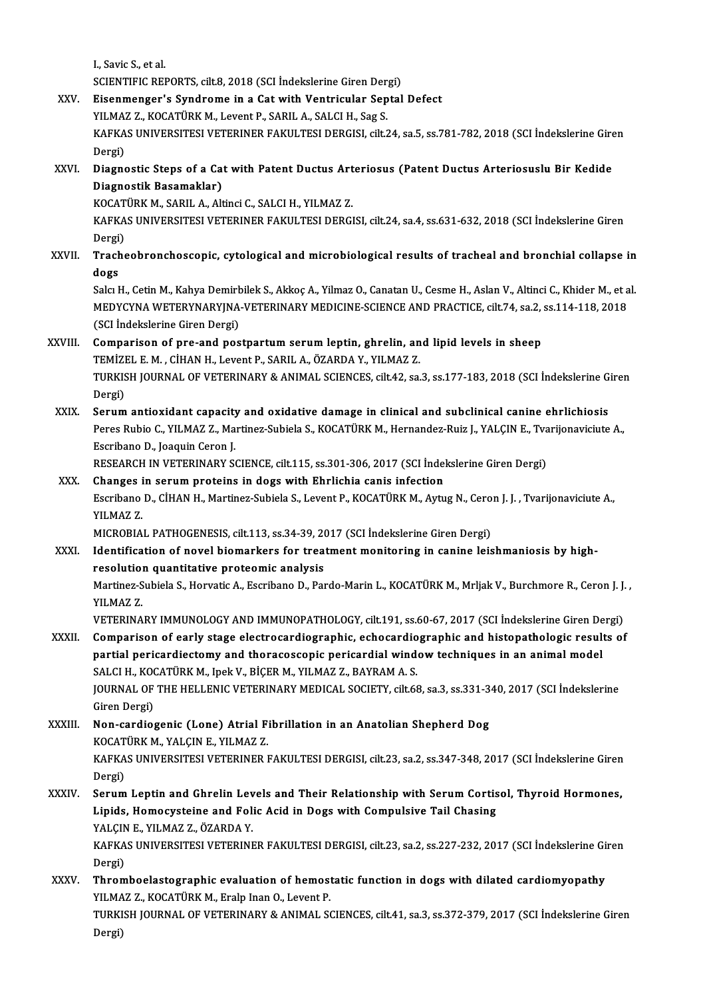I.,Savic S.,etal.

I., Savic S., et al.<br>SCIENTIFIC REPORTS, cilt.8, 2018 (SCI İndekslerine Giren Dergi)<br>Fisanmangar'a Sundrama in a Cat with Vantriaular Santal

- XXV. Eisenmenger's Syndrome in a Catwith Ventricular Septal Defect SCIENTIFIC REPORTS, cilt.8, 2018 (SCI İndekslerine Giren Der<br>Eisenmenger's Syndrome in a Cat with Ventricular Sep<br>YILMAZ Z., KOCATÜRK M., Levent P., SARIL A., SALCI H., Sag S.<br>KARKAS UNIVERSITESI VETERINER FAKILLTESI DERCI Eisenmenger's Syndrome in a Cat with Ventricular Septal Defect<br>YILMAZ Z., KOCATÜRK M., Levent P., SARIL A., SALCI H., Sag S.<br>KAFKAS UNIVERSITESI VETERINER FAKULTESI DERGISI, cilt.24, sa.5, ss.781-782, 2018 (SCI İndekslerin YILMAZ Z., KOCATÜRK M., Levent P., SARIL A., SALCI H., Sag S.<br>KAFKAS UNIVERSITESI VETERINER FAKULTESI DERGISI, cilt.2<br>Dergi) KAFKAS UNIVERSITESI VETERINER FAKULTESI DERGISI, cilt.24, sa.5, ss.781-782, 2018 (SCI İndekslerine Gire<br>Dergi)<br>XXVI. Diagnostic Steps of a Cat with Patent Ductus Arteriosus (Patent Ductus Arteriosuslu Bir Kedide<br>Diagnostik
- XXVI. Diagnostic Steps of a Cat with Patent Ductus Arteriosus (Patent Ductus Arteriosuslu Bir Kedide<br>Diagnostik Basamaklar) Diagnostic Steps of a Cat with Patent Ductus Art<br>Diagnostik Basamaklar)<br>KOCATÜRK M., SARIL A., Altinci C., SALCI H., YILMAZ Z.<br>KARKAS UNIVERSITESI VETERINER FAKULTESI DERCI

Diagnostik Basamaklar)<br>KOCATÜRK M., SARIL A., Altinci C., SALCI H., YILMAZ Z.<br>KAFKAS UNIVERSITESI VETERINER FAKULTESI DERGISI, cilt.24, sa.4, ss.631-632, 2018 (SCI İndekslerine Giren<br>Dergi) KOCAT<br>KAFKA<br>Dergi)<br>Trache KAFKAS UNIVERSITESI VETERINER FAKULTESI DERGISI, cilt.24, sa.4, ss.631-632, 2018 (SCI İndekslerine Giren<br>Dergi)<br>XXVII. Tracheobronchoscopic, cytological and microbiological results of tracheal and bronchial collapse in

Dergi)<br>Tracheobronchoscopic, cytological and microbiological results of tracheal and bronchial collapse in<br>dogs Tracheobronchoscopic, cytological and microbiological results of tracheal and bronchial collapse in<br>dogs<br>Salcı H., Cetin M., Kahya Demirbilek S., Akkoç A., Yilmaz O., Canatan U., Cesme H., Aslan V., Altinci C., Khider M.,

dogs<br>Salcı H., Cetin M., Kahya Demirbilek S., Akkoç A., Yilmaz O., Canatan U., Cesme H., Aslan V., Altinci C., Khider M., et a<br>MEDYCYNA WETERYNARYJNA-VETERINARY MEDICINE-SCIENCE AND PRACTICE, cilt.74, sa.2, ss.114-118, 201 Salcı H., Cetin M., Kahya Demirl<br>MEDYCYNA WETERYNARYJNA<br>(SCI İndekslerine Giren Dergi)<br>Comnarison of nra and nos MEDYCYNA WETERYNARYJNA-VETERINARY MEDICINE-SCIENCE AND PRACTICE, cilt.74, sa.2,<br>(SCI Indekslerine Giren Dergi)<br>XXVIII. Comparison of pre-and postpartum serum leptin, ghrelin, and lipid levels in sheep<br>TEMIZELE M. CUAN H. L

# (SCI İndekslerine Giren Dergi)<br>Comparison of pre-and postpartum serum leptin, ghrelin, an<br>TEMİZEL E. M. , CİHAN H., Levent P., SARIL A., ÖZARDA Y., YILMAZ Z.<br>TURKISH JOURNAL OF VETERINARY & ANIMAL SCIENCES, silt 42, sə Comparison of pre-and postpartum serum leptin, ghrelin, and lipid levels in sheep<br>TEMİZEL E. M. , CİHAN H., Levent P., SARIL A., ÖZARDA Y., YILMAZ Z.<br>TURKISH JOURNAL OF VETERINARY & ANIMAL SCIENCES, cilt.42, sa.3, ss.177-1 TEMİZEL E. M. , CİHAN H., Levent P., SARIL A., ÖZARDA Y., YILMAZ Z.<br>TURKISH JOURNAL OF VETERINARY & ANIMAL SCIENCES, cilt.42, sa.3, ss.177-183, 2018 (SCI İndekslerine G<br>Dergi)<br>Serum antioxidant capacity and oxidative damag TURKISH JOURNAL OF VETERINARY & ANIMAL SCIENCES, cilt.42, sa.3, ss.177-183, 2018 (SCI Indekslerine G<br>Dergi)<br>XXIX. Serum antioxidant capacity and oxidative damage in clinical and subclinical canine ehrlichiosis<br>Pergs Pubje

Dergi)<br>Serum antioxidant capacity and oxidative damage in clinical and subclinical canine ehrlichiosis<br>Peres Rubio C., YILMAZ Z., Martinez-Subiela S., KOCATÜRK M., Hernandez-Ruiz J., YALÇIN E., Tvarijonaviciute A.,<br>Escriba Serum antioxidant capacity<br>Peres Rubio C., YILMAZ Z., Ma<br>Escribano D., Joaquin Ceron J.<br>PESEAPCH IN VETERINARY S6 Peres Rubio C., YILMAZ Z., Martinez-Subiela S., KOCATÜRK M., Hernandez-Ruiz J., YALÇIN E., Tva<br>Escribano D., Joaquin Ceron J.<br>RESEARCH IN VETERINARY SCIENCE, cilt.115, ss.301-306, 2017 (SCI İndekslerine Giren Dergi)<br>Change

Escribano D., Joaquin Ceron J.<br>RESEARCH IN VETERINARY SCIENCE, cilt.115, ss.301-306, 2017 (SCI Indel<br>XXX. Changes in serum proteins in dogs with Ehrlichia canis infection<br>Escribano D. CillAN H. Martiner Subjele S. Levent B RESEARCH IN VETERINARY SCIENCE, cilt.115, ss.301-306, 2017 (SCI İndekslerine Giren Dergi)<br>Changes in serum proteins in dogs with Ehrlichia canis infection<br>Escribano D., CİHAN H., Martinez-Subiela S., Levent P., KOCATÜRK M. Changes in serum proteins in dogs with Ehrlichia canis infection<br>Escribano D., CİHAN H., Martinez-Subiela S., Levent P., KOCATÜRK M., Aytug N., Ceron J. J. , Tvarijonaviciute A.,<br>YILMAZ Z. Escribano D., CİHAN H., Martinez-Subiela S., Levent P., KOCATÜRK M., Aytug N., Cero<br>YILMAZ Z.<br>MICROBIAL PATHOGENESIS, cilt.113, ss.34-39, 2017 (SCI İndekslerine Giren Dergi)<br>Identification of novel biomerkers for treatment

XXXI. Identification of novel biomarkers for treatment monitoring in canine leishmaniosis by high-<br>resolution quantitative proteomic analysis MICROBIAL PATHOGENESIS, cilt.113, ss.34-39, 20<br>Identification of novel biomarkers for trea<br>resolution quantitative proteomic analysis<br>Martinez Subiele S. Hervetic A. Escribane D. Per Identification of novel biomarkers for treatment monitoring in canine leishmaniosis by high-<br>resolution quantitative proteomic analysis<br>Martinez-Subiela S., Horvatic A., Escribano D., Pardo-Marin L., KOCATÜRK M., Mrljak V. resolutio<br>Martinez-S<br>YILMAZ Z.<br>VETERINA Martinez-Subiela S., Horvatic A., Escribano D., Pardo-Marin L., KOCATÜRK M., Mrljak V., Burchmore R., Ceron J. J.<br>YILMAZ Z.<br>VETERINARY IMMUNOLOGY AND IMMUNOPATHOLOGY, cilt.191, ss.60-67, 2017 (SCI İndekslerine Giren Dergi)

YILMAZ Z.<br>VETERINARY IMMUNOLOGY AND IMMUNOPATHOLOGY, cilt.191, ss.60-67, 2017 (SCI İndekslerine Giren Dergi)<br>XXXII. Comparison of early stage electrocardiographic, echocardiographic and histopathologic results of VETERINARY IMMUNOLOGY AND IMMUNOPATHOLOGY, cilt.191, ss.60-67, 2017 (SCI İndekslerine Giren De<br>Comparison of early stage electrocardiographic, echocardiographic and histopathologic result<br>partial pericardiectomy and thorac Comparison of early stage electrocardiographic, echocardio<br>partial pericardiectomy and thoracoscopic pericardial wind<br>SALCI H., KOCATÜRK M., Ipek V., BİÇER M., YILMAZ Z., BAYRAM A. S.<br>JOUPMAL OF THE HELLENIC VETERINARY MED partial pericardiectomy and thoracoscopic pericardial window techniques in an animal model<br>SALCI H., KOCATÜRK M., Ipek V., BİÇER M., YILMAZ Z., BAYRAM A. S.<br>JOURNAL OF THE HELLENIC VETERINARY MEDICAL SOCIETY, cilt.68, sa.3 SALCI H., KOCATÜRK M., Ipek V., BİÇER M., YILMAZ Z., BAYRAM A. S.<br>JOURNAL OF THE HELLENIC VETERINARY MEDICAL SOCIETY, cilt.68<br>Giren Dergi)

# JOURNAL OF THE HELLENIC VETERINARY MEDICAL SOCIETY, cilt.68, sa.3, ss.331-3<br>Giren Dergi)<br>XXXIII. Non-cardiogenic (Lone) Atrial Fibrillation in an Anatolian Shepherd Dog<br>XOCATÜPY M XALCINE VILMAZZ Non-cardiogenic (Lone) Atrial Fibrillation in an Anatolian Shepherd Dog KOCATÜRK M., YALÇIN E., YILMAZ Z. Non-cardiogenic (Lone) Atrial Fibrillation in an Anatolian Shepherd Dog<br>KOCATÜRK M., YALÇIN E., YILMAZ Z.<br>KAFKAS UNIVERSITESI VETERINER FAKULTESI DERGISI, cilt.23, sa.2, ss.347-348, 2017 (SCI İndekslerine Giren<br>Dergi) KOCAT<br>KAFKA<br>Dergi) KAFKAS UNIVERSITESI VETERINER FAKULTESI DERGISI, cilt.23, sa.2, ss.347-348, 2017 (SCI İndekslerine Giren<br>Dergi)<br>XXXIV. Serum Leptin and Ghrelin Levels and Their Relationship with Serum Cortisol, Thyroid Hormones,<br>Linids Ho

Dergi)<br>Serum Leptin and Ghrelin Levels and Their Relationship with Serum Cortis<br>Lipids, Homocysteine and Folic Acid in Dogs with Compulsive Tail Chasing<br>YALCIN E. VILMAZ Z. ÖZAPDA V Serum Leptin and Ghrelin Lev<br>Lipids, Homocysteine and Foli<br>YALÇIN E., YILMAZ Z., ÖZARDA Y.<br>KARKAS UNIVERSITESI VETERINE Lipids, Homocysteine and Folic Acid in Dogs with Compulsive Tail Chasing<br>YALÇIN E., YILMAZ Z., ÖZARDA Y.<br>KAFKAS UNIVERSITESI VETERINER FAKULTESI DERGISI, cilt.23, sa.2, ss.227-232, 2017 (SCI İndekslerine Giren<br>Dorgi)

YALÇIN<br>KAFKA<br>Dergi)<br>Throm KAFKAS UNIVERSITESI VETERINER FAKULTESI DERGISI, cilt.23, sa.2, ss.227-232, 2017 (SCI İndekslerine Gi:<br>Dergi)<br>XXXV. Thromboelastographic evaluation of hemostatic function in dogs with dilated cardiomyopathy<br>VII MAZ 7, KOCA

Dergi)<br>Thromboelastographic evaluation of hemost<br>YILMAZ Z., KOCATÜRK M., Eralp Inan O., Levent P.<br>TURKISH JOURNAL OF VETERINARY & ANIMAL SC Thromboelastographic evaluation of hemostatic function in dogs with dilated cardiomyopathy<br>YILMAZ Z., KOCATÜRK M., Eralp Inan O., Levent P.<br>TURKISH JOURNAL OF VETERINARY & ANIMAL SCIENCES, cilt.41, sa.3, ss.372-379, 2017 ( YILMA<br>TURKI<br>Dergi)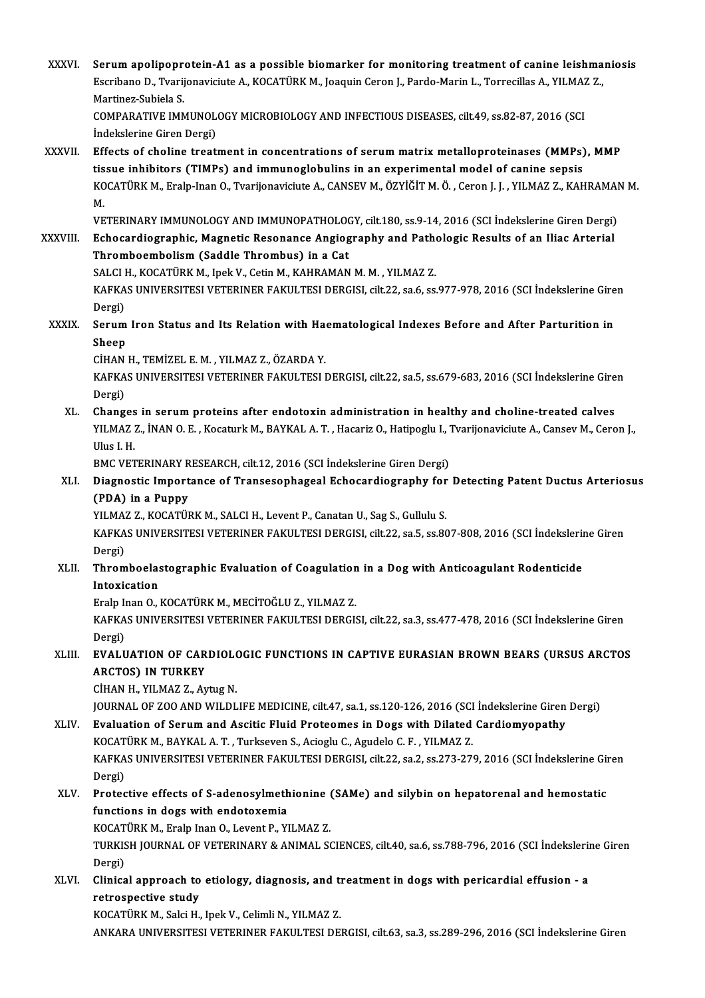XXXVI. Serum apolipoprotein-A1 as a possible biomarker for monitoring treatment of canine leishmaniosis<br>Econipape D. Typrijopovisivte A. KOCATURK M. Josquin Cenen L. Parde Marin L. Terresilles A. VII MAZZ Serum apolipoprotein-A1 as a possible biomarker for monitoring treatment of canine leishma<br>Escribano D., Tvarijonaviciute A., KOCATÜRK M., Joaquin Ceron J., Pardo-Marin L., Torrecillas A., YILMAZ Z., Serum apolipopre<br>Escribano D., Tvarij<br>Martinez-Subiela S.<br>COMBARATIVE IMN Escribano D., Tvarijonaviciute A., KOCATÜRK M., Joaquin Ceron J., Pardo-Marin L., Torrecillas A., YILMAZ Z.,<br>Martinez-Subiela S.<br>COMPARATIVE IMMUNOLOGY MICROBIOLOGY AND INFECTIOUS DISEASES. cilt.49. ss.82-87. 2016 (SCI İndekslerine Giren Dergi) COMPARATIVE IMMUNOLOGY MICROBIOLOGY AND INFECTIOUS DISEASES, cilt.49, ss.82-87, 2016 (SCI<br>Indekslerine Giren Dergi)<br>XXXVII. Effects of choline treatment in concentrations of serum matrix metalloproteinases (MMPs), MMP<br>tiss indekslerine Giren Dergi)<br>Effects of choline treatment in concentrations of serum matrix metalloproteinases (MMPs)<br>tissue inhibitors (TIMPs) and immunoglobulins in an experimental model of canine sepsis<br>KOCATÜRK M. Eraln I KOCATÜRK M., Eralp-Inan O., Tvarijonaviciute A., CANSEV M., ÖZYİĞİT M. Ö. , Ceron J. J. , YILMAZ Z., KAHRAMAN M.<br>M. tissue inhibitors (TIMPs) and immunoglobulins in an experimental model of canine sepsis KOCATÜRK M., Eralp-Inan O., Tvarijonaviciute A., CANSEV M., ÖZYİĞİT M. Ö. , Ceron J. J. , YILMAZ Z., KAHRAMAI<br>M.<br>VETERINARY IMMUNOLOGY AND IMMUNOPATHOLOGY, cilt.180, ss.9-14, 2016 (SCI İndekslerine Giren Dergi)<br>Febogardiog M.<br>VETERINARY IMMUNOLOGY AND IMMUNOPATHOLOGY, cilt.180, ss.9-14, 2016 (SCI İndekslerine Giren Dergi)<br>XXXVIII. Echocardiographic, Magnetic Resonance Angiography and Pathologic Results of an Iliac Arterial VETERINARY IMMUNOLOGY AND IMMUNOPATHOLOO<br>Echocardiographic, Magnetic Resonance Angiog<br>Thromboembolism (Saddle Thrombus) in a Cat<br>SALCLH *VO*CATÜRY M. Ingk.V. Catin M. KAHRAMAN Echocardiographic, Magnetic Resonance Angiography and Pather<br>Thromboembolism (Saddle Thrombus) in a Cat<br>SALCI H., KOCATÜRK M., Ipek V., Cetin M., KAHRAMAN M. M. , YILMAZ Z.<br>KAEKAS UNIVERSITESI VETERINER FAKIH TESI DERCISI Thromboembolism (Saddle Thrombus) in a Cat<br>SALCI H., KOCATÜRK M., Ipek V., Cetin M., KAHRAMAN M. M. , YILMAZ Z.<br>KAFKAS UNIVERSITESI VETERINER FAKULTESI DERGISI, cilt.22, sa.6, ss.977-978, 2016 (SCI İndekslerine Giren<br>Dergi SALCI I<br>KAFKA<br>Dergi) KAFKAS UNIVERSITESI VETERINER FAKULTESI DERGISI, cilt.22, sa.6, ss.977-978, 2016 (SCI İndekslerine Gire<br>Dergi)<br>XXXIX. Serum Iron Status and Its Relation with Haematological Indexes Before and After Parturition in Dergi)<br><mark>Serum</mark><br>Sheep<br><sub>C</sub>iu A N Serum Iron Status and Its Relation with Ha<mark>s</mark><br>Sheep<br>CİHAN H., TEMİZEL E. M. , YILMAZ Z., ÖZARDA Y.<br>KARKAS UNIVERSITESI VETERINER FAKULTESI I Sheep<br>CİHAN H., TEMİZEL E. M. , YILMAZ Z., ÖZARDA Y.<br>KAFKAS UNIVERSITESI VETERINER FAKULTESI DERGISI, cilt.22, sa.5, ss.679-683, 2016 (SCI İndekslerine Giren CİHAN H., TEMİZEL E. M. , YILMAZ Z., ÖZARDA Y.<br>KAFKAS UNIVERSITESI VETERINER FAKULTESI DERGISI, cilt.22, sa.5, ss.679-683, 2016 (SCI İndekslerine Gire<br>Dergi)<br>XL. Changes in serum proteins after endotoxin administration KAFKAS UNIVERSITESI VETERINER FAKULTESI DERGISI, cilt.22, sa.5, ss.679-683, 2016 (SCI indekslerine Gire<br>Dergi)<br>XL. Changes in serum proteins after endotoxin administration in healthy and choline-treated calves<br>XL. Changes Dergi)<br>Changes in serum proteins after endotoxin administration in healthy and choline-treated calves<br>YILMAZ Z., İNAN O. E. , Kocaturk M., BAYKAL A. T. , Hacariz O., Hatipoglu I., Tvarijonaviciute A., Cansev M., Ceron J.,<br> Changes<br>YILMAZ<br>Ulus I. H.<br>PMC VET YILMAZ Z., İNAN O. E. , Kocaturk M., BAYKAL A. T. , Hacariz O., Hatipoglu I., ".<br>Ulus I. H.<br>BMC VETERINARY RESEARCH, cilt.12, 2016 (SCI İndekslerine Giren Dergi)<br>Diagnostis Importanse of Transasophagoal Esbosardiography fo Ulus I. H.<br>BMC VETERINARY RESEARCH, cilt.12, 2016 (SCI İndekslerine Giren Dergi)<br>XLI. Diagnostic Importance of Transesophageal Echocardiography for Detecting Patent Ductus Arteriosus<br>(PDA) in a Bunny BMC VETERINARY RESEARCH, cilt.12, 2016 (SCI İndekslerine Giren Dergi)<br>Diagnostic Importance of Transesophageal Echocardiography for<br>(PDA) in a Puppy Diagnostic Importance of Transesophageal Echocardiography for<br>(PDA) in a Puppy<br>YILMAZ Z., KOCATÜRK M., SALCI H., Levent P., Canatan U., Sag S., Gullulu S.<br>KAEKAS UNIVERSITESI VETERINER FAKIH TESI DERCISL silt 22, sa 5, 53, (PDA) in a Puppy<br>YILMAZ Z., KOCATÜRK M., SALCI H., Levent P., Canatan U., Sag S., Gullulu S.<br>KAFKAS UNIVERSITESI VETERINER FAKULTESI DERGISI, cilt.22, sa.5, ss.807-808, 2016 (SCI İndekslerine Giren<br>Dergi) YILMAZ Z., KOCATÜRK M., SALCI H., Levent P., Canatan U., Sag S., Gullulu S.<br>KAFKAS UNIVERSITESI VETERINER FAKULTESI DERGISI, cilt.22, sa.5, ss.80<br>Dergi) KAFKAS UNIVERSITESI VETERINER FAKULTESI DERGISI, cilt.22, sa.5, ss.807-808, 2016 (SCI İndeksleri<br>Dergi)<br>XLII. Thromboelastographic Evaluation of Coagulation in a Dog with Anticoagulant Rodenticide<br>Interlection XLII. Thromboelastographic Evaluation of Coagulation in a Dog with Anticoagulant Rodenticide<br>Intoxication Thromboelastographic Evaluation of Coagulation<br>Intoxication<br>Eralp Inan O., KOCATÜRK M., MECİTOĞLU Z., YILMAZ Z.<br>KAEKAS UNIVERSITESI VETERINER FAKULTESI DERCI KAFKAS UNIVERSITESI VETERINER FAKULTESI DERGISI, cilt.22, sa.3, ss.477-478, 2016 (SCI İndekslerine Giren<br>Dergi) Eralp II<br>KAFKA<br>Dergi)<br>EVALU KAFKAS UNIVERSITESI VETERINER FAKULTESI DERGISI, cilt.22, sa.3, ss.477-478, 2016 (SCI İndekslerine Giren<br>Dergi)<br>XLIII. EVALUATION OF CARDIOLOGIC FUNCTIONS IN CAPTIVE EURASIAN BROWN BEARS (URSUS ARCTOS Dergi)<br><mark>EVALUATION OF CAR</mark><br>ARCTOS) IN TURKEY<br>C<sup>IHAN H.</sup> <sup>VII MAZ Z. Av</sup> EVALUATION OF CARDIOLO<br>ARCTOS) IN TURKEY<br>CİHAN H., YILMAZ Z., Aytug N.<br>JOUPNAL OF 700 AND WILDI ARCTOS) IN TURKEY<br>CİHAN H., YILMAZ Z., Aytug N.<br>JOURNAL OF ZOO AND WILDLIFE MEDICINE, cilt.47, sa.1, ss.120-126, 2016 (SCI İndekslerine Giren Dergi)<br>Fyalustion of Serum and Assitis Eluid Proteomes in Dogs with Dilated Card CIHAN H., YILMAZ Z., Aytug N.<br>JOURNAL OF ZOO AND WILDLIFE MEDICINE, cilt.47, sa.1, ss.120-126, 2016 (SCI Indekslerine Giren<br>XLIV. Evaluation of Serum and Ascitic Fluid Proteomes in Dogs with Dilated Cardiomyopathy<br>KOCATUPK JOURNAL OF ZOO AND WILDLIFE MEDICINE, cilt.47, sa.1, ss.120-126, 2016 (SCI<br>Evaluation of Serum and Ascitic Fluid Proteomes in Dogs with Dilated<br>KOCATÜRK M., BAYKAL A. T. , Turkseven S., Acioglu C., Agudelo C. F. , YILMAZ Z Evaluation of Serum and Ascitic Fluid Proteomes in Dogs with Dilated Cardiomyopathy<br>KOCATÜRK M., BAYKAL A. T. , Turkseven S., Acioglu C., Agudelo C. F. , YILMAZ Z.<br>KAFKAS UNIVERSITESI VETERINER FAKULTESI DERGISI, cilt.22, KOCAT<br>KAFKA<br>Dergi)<br>Protes KAFKAS UNIVERSITESI VETERINER FAKULTESI DERGISI, cilt.22, sa.2, ss.273-279, 2016 (SCI İndekslerine Gir<br>Dergi)<br>XLV. Protective effects of S-adenosylmethionine (SAMe) and silybin on hepatorenal and hemostatic<br>functions in do Dergi)<br>Protective effects of S-adenosylmeth<br>functions in dogs with endotoxemia<br>KOCATÜPK M. Eralp Inan O. Lavent B. VI Protective effects of S-adenosylmethionine<br>functions in dogs with endotoxemia<br>KOCATÜRK M., Eralp Inan O., Levent P., YILMAZ Z.<br>TURKISH JOURNAL OF VETERINARY & ANIMAL SC functions in dogs with endotoxemia<br>KOCATÜRK M., Eralp Inan O., Levent P., YILMAZ Z.<br>TURKISH JOURNAL OF VETERINARY & ANIMAL SCIENCES, cilt.40, sa.6, ss.788-796, 2016 (SCI İndekslerine Giren KOCAT<br>TURKIS<br>Dergi)<br>Clinica TURKISH JOURNAL OF VETERINARY & ANIMAL SCIENCES, cilt.40, sa.6, ss.788-796, 2016 (SCI İndekslerin<br>Dergi)<br>XLVI. Clinical approach to etiology, diagnosis, and treatment in dogs with pericardial effusion - a Dergi)<br>Clinical approach to<br>retrospective study<br><sup>VOCATÜDV M. Selsi u</sup> Clinical approach to etiology, diagnosis, and the<br>retrospective study<br>KOCATÜRK M., Salci H., Ipek V., Celimli N., YILMAZ Z.<br>ANKARA UNIVERSITESI VETERINER FAKULTESI DEI retrospective study<br>KOCATÜRK M., Salci H., Ipek V., Celimli N., YILMAZ Z.<br>ANKARA UNIVERSITESI VETERINER FAKULTESI DERGISI, cilt.63, sa.3, ss.289-296, 2016 (SCI İndekslerine Giren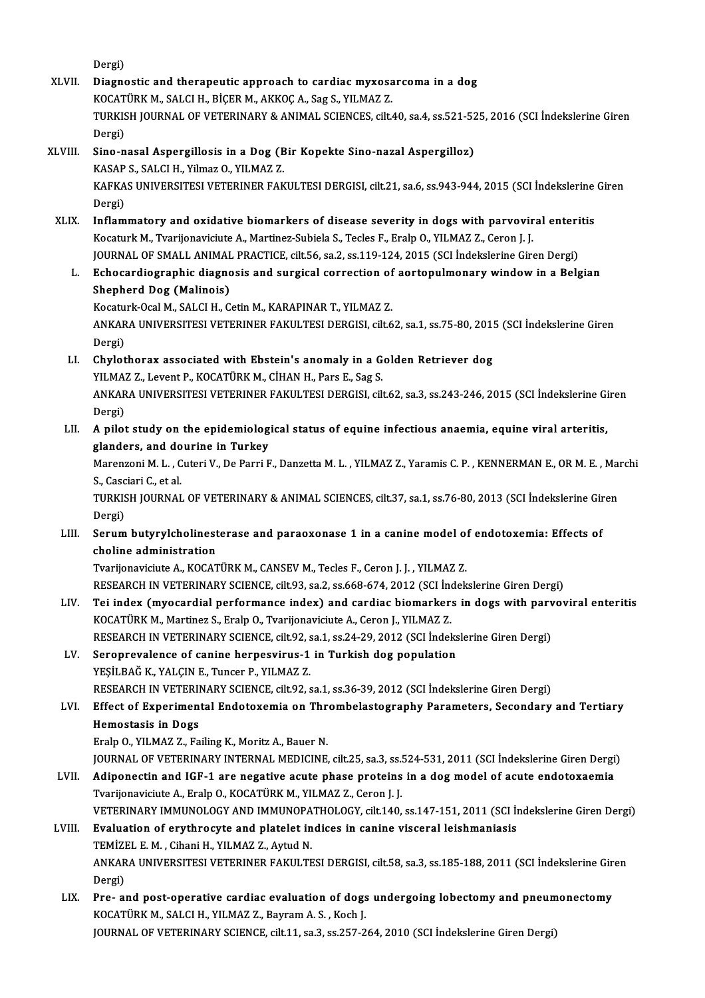Dergi) XLVII. Diagnostic and therapeutic approach to cardiac myxosarcoma in a dog Dergi)<br>Diagnostic and therapeutic approach to cardiac myxosa<br>KOCATÜRK M., SALCI H., BİÇER M., AKKOÇ A., Sag S., YILMAZ Z.<br>TURKISH JOURNAL OF VETERINARY & ANIMAL SCIENCES. SİL TURKISH JOURNAL OF VETERINARY & ANIMAL SCIENCES, cilt.40, sa.4, ss.521-525, 2016 (SCI İndekslerine Giren<br>Dergi) KOCAT<br>TURKIS<br>Dergi)<br>Sino n TURKISH JOURNAL OF VETERINARY & ANIMAL SCIENCES, cilt.40, sa.4, ss.521-52<br>Dergi)<br>XLVIII. Sino-nasal Aspergillosis in a Dog (Bir Kopekte Sino-nazal Aspergilloz)<br>XASAB S SALCLH Vilmaz O VILMAZ 7 Dergi)<br>Sino-nasal Aspergillosis in a Dog (B<br>KASAP S., SALCI H., Yilmaz O., YILMAZ Z.<br>KARKAS UNIVERSITESI VETERINER FAK Sino-nasal Aspergillosis in a Dog (Bir Kopekte Sino-nazal Aspergilloz)<br>KASAP S., SALCI H., Yilmaz O., YILMAZ Z.<br>KAFKAS UNIVERSITESI VETERINER FAKULTESI DERGISI, cilt.21, sa.6, ss.943-944, 2015 (SCI İndekslerine Giren<br>Dergi KASAP<br>KAFKA<br>Dergi)<br>Inflam KAFKAS UNIVERSITESI VETERINER FAKULTESI DERGISI, cilt.21, sa.6, ss.943-944, 2015 (SCI İndekslerine<br>Dergi)<br>XLIX. Inflammatory and oxidative biomarkers of disease severity in dogs with parvoviral enteritis<br>Kosaturk M. Tranij Dergi)<br>Inflammatory and oxidative biomarkers of disease severity in dogs with parvovir<br>Kocaturk M., Tvarijonaviciute A., Martinez-Subiela S., Tecles F., Eralp O., YILMAZ Z., Ceron J. J.<br>JOUPMAL OF SMALL ANIMAL PRACTICE sit Inflammatory and oxidative biomarkers of disease severity in dogs with parvoviral enteri<br>Kocaturk M., Tvarijonaviciute A., Martinez-Subiela S., Tecles F., Eralp O., YILMAZ Z., Ceron J. J.<br>JOURNAL OF SMALL ANIMAL PRACTICE, Kocaturk M., Tvarijonaviciute A., Martinez-Subiela S., Tecles F., Eralp O., YILMAZ Z., Ceron J. J.<br>JOURNAL OF SMALL ANIMAL PRACTICE, cilt.56, sa.2, ss.119-124, 2015 (SCI Indekslerine Giren Dergi)<br>L. Echocardiographic diagn Shepherd Dog (Malinois) Kocaturk-Ocal M., SALCI H., Cetin M., KARAPINAR T., YILMAZ Z. Shepherd Dog (Malinois)<br>Kocaturk-Ocal M., SALCI H., Cetin M., KARAPINAR T., YILMAZ Z.<br>ANKARA UNIVERSITESI VETERINER FAKULTESI DERGISI, cilt.62, sa.1, ss.75-80, 2015 (SCI İndekslerine Giren Kocatu<br>ANKAR<br>Dergi)<br>Chylat ANKARA UNIVERSITESI VETERINER FAKULTESI DERGISI, cilt.62, sa.1, ss.75-80, 201!<br>Dergi)<br>LI. Chylothorax associated with Ebstein's anomaly in a Golden Retriever dog<br>VII MAZZ, Levent B, VOCATURY M, CHAN H, Pers E, Seg S Dergi)<br>L. Chylothorax associated with Ebstein's anomaly in a Golden Retriever dog Chylothorax associated with Ebstein's anomaly in a Golden Retriever dog<br>YILMAZ Z., Levent P., KOCATÜRK M., CİHAN H., Pars E., Sag S.<br>ANKARA UNIVERSITESI VETERINER FAKULTESI DERGISI, cilt.62, sa.3, ss.243-246, 2015 (SCI İnd YILMAZ Z., Levent P., KOCATÜRK M., CİHAN H., Pars E., Sag S.<br>ANKARA UNIVERSITESI VETERINER FAKULTESI DERGISI, cilt<br>Dergi) ANKARA UNIVERSITESI VETERINER FAKULTESI DERGISI, cilt.62, sa.3, ss.243-246, 2015 (SCI İndekslerine Gi<br>Dergi)<br>LII. A pilot study on the epidemiological status of equine infectious anaemia, equine viral arteritis,<br>clanders, LII. A pilot study on the epidemiological status of equine infectious anaemia, equine viral arteritis, glanders, and dourine in Turkey A pilot study on the epidemiological status of equine infectious anaemia, equine viral arteritis,<br>glanders, and dourine in Turkey<br>Marenzoni M. L. , Cuteri V., De Parri F., Danzetta M. L. , YILMAZ Z., Yaramis C. P. , KENNER glanders, and do<br>Marenzoni M. L. , C<br>S., Casciari C., et al.<br>TUREER JOURNAL Marenzoni M. L. , Cuteri V., De Parri F., Danzetta M. L. , YILMAZ Z., Yaramis C. P. , KENNERMAN E., OR M. E. , Mai<br>S., Casciari C., et al.<br>TURKISH JOURNAL OF VETERINARY & ANIMAL SCIENCES, cilt.37, sa.1, ss.76-80, 2013 (SCI S., Casciari C., et al.<br>TURKISH JOURNAL OF VETERINARY & ANIMAL SCIENCES, cilt.37, sa.1, ss.76-80, 2013 (SCI İndekslerine Giren<br>Dergi) TURKISH JOURNAL OF VETERINARY & ANIMAL SCIENCES, cilt.37, sa.1, ss.76-80, 2013 (SCI İndekslerine Gir<br>Dergi)<br>LIII. Serum butyrylcholinesterase and paraoxonase 1 in a canine model of endotoxemia: Effects of Dergi)<br>Serum butyrylcholinest<br>choline administration<br>Tyruionevisivte A. KOCAT Serum butyrylcholinesterase and paraoxonase 1 in a canine model of<br>choline administration<br>Tvarijonaviciute A., KOCATÜRK M., CANSEV M., Tecles F., Ceron J. J. , YILMAZ Z.<br>RESEARCH IN VETERINARY SCIENCE, silt 03, ss.2, ss.66 choline administration<br>Tvarijonaviciute A., KOCATÜRK M., CANSEV M., Tecles F., Ceron J. J. , YILMAZ Z.<br>RESEARCH IN VETERINARY SCIENCE, cilt.93, sa.2, ss.668-674, 2012 (SCI İndekslerine Giren Dergi) Tvarijonaviciute A., KOCATÜRK M., CANSEV M., Tecles F., Ceron J. J. , YILMAZ Z.<br>RESEARCH IN VETERINARY SCIENCE, cilt.93, sa.2, ss.668-674, 2012 (SCI İndekslerine Giren Dergi)<br>LIV. Tei index (myocardial performance index) a RESEARCH IN VETERINARY SCIENCE, cilt.93, sa.2, ss.668-674, 2012 (SCI Index (myocardial performance index) and cardiac biomarker:<br>KOCATÜRK M., Martinez S., Eralp O., Tvarijonaviciute A., Ceron J., YILMAZ Z.<br>RESEARCH IN VETE Tei index (myocardial performance index) and cardiac biomarkers in dogs with parv<br>KOCATÜRK M., Martinez S., Eralp O., Tvarijonaviciute A., Ceron J., YILMAZ Z.<br>RESEARCH IN VETERINARY SCIENCE, cilt.92, sa.1, ss.24-29, 2012 ( KOCATÜRK M., Martinez S., Eralp O., Tvarijonaviciute A., Ceron J., YILMAZ Z.<br>RESEARCH IN VETERINARY SCIENCE, cilt.92, sa.1, ss.24-29, 2012 (SCI Indeks<br>LV. Seroprevalence of canine herpesvirus-1 in Turkish dog population<br>ve RESEARCH IN VETERINARY SCIENCE, cilt.92, s<br>Seroprevalence of canine herpesvirus-1<br>YEŞİLBAĞ K., YALÇIN E., Tuncer P., YILMAZ Z.<br>RESEARCH IN VETERINARY SCIENCE, silt.93, s Seroprevalence of canine herpesvirus-1 in Turkish dog population<br>YEŞİLBAĞ K., YALÇIN E., Tuncer P., YILMAZ Z.<br>RESEARCH IN VETERINARY SCIENCE, cilt.92, sa.1, ss.36-39, 2012 (SCI İndekslerine Giren Dergi) YEŞİLBAĞ K., YALÇIN E., Tuncer P., YILMAZ Z.<br>RESEARCH IN VETERINARY SCIENCE, cilt.92, sa.1, ss.36-39, 2012 (SCI İndekslerine Giren Dergi)<br>LVI. Effect of Experimental Endotoxemia on Thrombelastography Parameters, Second RESEARCH IN VETERII<br>Effect of Experimen<br>Hemostasis in Dogs<br>Erala O. VII MAZ Z. Ea Effect of Experimental Endotoxemia on Thr<br>Hemostasis in Dogs<br>Eralp O., YILMAZ Z., Failing K., Moritz A., Bauer N.<br>JOURNAL OF VETERINARY INTERNAL MEDICINE Hemostasis in Dogs<br>Eralp O., YILMAZ Z., Failing K., Moritz A., Bauer N.<br>JOURNAL OF VETERINARY INTERNAL MEDICINE, cilt.25, sa.3, ss.524-531, 2011 (SCI İndekslerine Giren Dergi)<br>Adinanastin and JCE 1 are nagative asute nhase Eralp O., YILMAZ Z., Failing K., Moritz A., Bauer N.<br>JOURNAL OF VETERINARY INTERNAL MEDICINE, cilt.25, sa.3, ss.524-531, 2011 (SCI İndekslerine Giren Dergi<br>LVII. Adiponectin and IGF-1 are negative acute phase proteins in a JOURNAL OF VETERINARY INTERNAL MEDICINE, cilt.25, sa.3, ss.!<br>Adiponectin and IGF-1 are negative acute phase proteins<br>Tvarijonaviciute A., Eralp O., KOCATÜRK M., YILMAZ Z., Ceron J. J.<br>VETERINARY IMMUNOLOCY AND IMMUNORATHOL Adiponectin and IGF-1 are negative acute phase proteins in a dog model of acute endotoxaemia<br>Tvarijonaviciute A., Eralp O., KOCATÜRK M., YILMAZ Z., Ceron J. J.<br>VETERINARY IMMUNOLOGY AND IMMUNOPATHOLOGY, cilt.140, ss.147-15 Tvarijonaviciute A., Eralp O., KOCATÜRK M., YILMAZ Z., Ceron J. J.<br>VETERINARY IMMUNOLOGY AND IMMUNOPATHOLOGY, cilt.140, ss.147-151, 2011 (SCI İn<br>LVIII. Evaluation of erythrocyte and platelet indices in canine visceral leis VETERINARY IMMUNOLOGY AND IMMUNOPATHOLOGY, cilt.140, ss.147-151, 2011 (SCI İndekslerine Giren Dergi) Evaluation of erythrocyte and platelet indices in canine visceral leishmaniasis<br>TEMİZEL E. M. , Cihani H., YILMAZ Z., Aytud N.<br>ANKARA UNIVERSITESI VETERINER FAKULTESI DERGISI, cilt.58, sa.3, ss.185-188, 2011 (SCI İndeksler TEMİZI<br>ANKAR<br>Dergi) ANKARA UNIVERSITESI VETERINER FAKULTESI DERGISI, cilt.58, sa.3, ss.185-188, 2011 (SCI İndekslerine Gir<br>Dergi)<br>LIX. Pre- and post-operative cardiac evaluation of dogs undergoing lobectomy and pneumonectomy<br>KOCATÜRK M. SALCL Dergi)<br>LIX. Pre- and post-operative cardiac evaluation of dogs undergoing lobectomy and pneumonectomy<br>KOCATÜRK M., SALCI H., YILMAZ Z., Bayram A. S. , Koch J.

JOURNAL OF VETERINARY SCIENCE, cilt.11, sa.3, ss.257-264, 2010 (SCI Indekslerine Giren Dergi)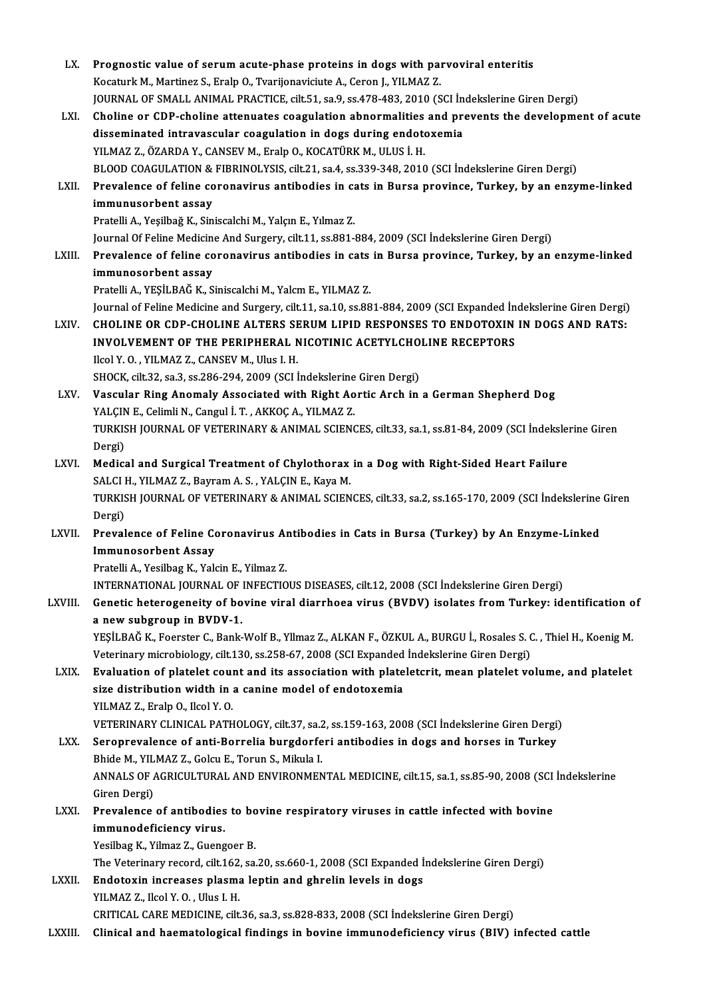| LX.     | Prognostic value of serum acute-phase proteins in dogs with parvoviral enteritis                                     |
|---------|----------------------------------------------------------------------------------------------------------------------|
|         | Kocaturk M., Martinez S., Eralp O., Tvarijonaviciute A., Ceron J., YILMAZ Z.                                         |
|         | JOURNAL OF SMALL ANIMAL PRACTICE, cilt.51, sa.9, ss.478-483, 2010 (SCI Indekslerine Giren Dergi)                     |
| LXI.    | Choline or CDP-choline attenuates coagulation abnormalities and prevents the development of acute                    |
|         | disseminated intravascular coagulation in dogs during endotoxemia                                                    |
|         | YILMAZ Z., ÖZARDA Y., CANSEV M., Eralp O., KOCATÜRK M., ULUS İ. H.                                                   |
|         | BLOOD COAGULATION & FIBRINOLYSIS, cilt.21, sa.4, ss.339-348, 2010 (SCI İndekslerine Giren Dergi)                     |
| LXII.   | Prevalence of feline coronavirus antibodies in cats in Bursa province, Turkey, by an enzyme-linked                   |
|         | immunusorbent assay                                                                                                  |
|         | Pratelli A., Yeşilbağ K., Siniscalchi M., Yalçın E., Yılmaz Z.                                                       |
|         | Journal Of Feline Medicine And Surgery, cilt.11, ss.881-884, 2009 (SCI İndekslerine Giren Dergi)                     |
| LXIII.  | Prevalence of feline coronavirus antibodies in cats in Bursa province, Turkey, by an enzyme-linked                   |
|         | immunosorbent assay                                                                                                  |
|         | Pratelli A., YEŞİLBAĞ K., Siniscalchi M., Yalcm E., YILMAZ Z.                                                        |
|         | Journal of Feline Medicine and Surgery, cilt.11, sa.10, ss.881-884, 2009 (SCI Expanded İndekslerine Giren Dergi)     |
| LXIV.   | CHOLINE OR CDP-CHOLINE ALTERS SERUM LIPID RESPONSES TO ENDOTOXIN IN DOGS AND RATS:                                   |
|         | INVOLVEMENT OF THE PERIPHERAL NICOTINIC ACETYLCHOLINE RECEPTORS                                                      |
|         | Ilcol Y.O., YILMAZ Z., CANSEV M., Ulus I.H.                                                                          |
|         | SHOCK, cilt.32, sa.3, ss.286-294, 2009 (SCI Indekslerine Giren Dergi)                                                |
| LXV.    | Vascular Ring Anomaly Associated with Right Aortic Arch in a German Shepherd Dog                                     |
|         | YALÇIN E., Celimli N., Cangul İ. T., AKKOÇ A., YILMAZ Z.                                                             |
|         | TURKISH JOURNAL OF VETERINARY & ANIMAL SCIENCES, cilt.33, sa.1, ss.81-84, 2009 (SCI İndekslerine Giren               |
|         | Dergi)                                                                                                               |
| LXVI.   | Medical and Surgical Treatment of Chylothorax in a Dog with Right-Sided Heart Failure                                |
|         | SALCI H., YILMAZ Z., Bayram A. S., YALÇIN E., Kaya M.                                                                |
|         | TURKISH JOURNAL OF VETERINARY & ANIMAL SCIENCES, cilt.33, sa.2, ss.165-170, 2009 (SCI İndekslerine Giren             |
|         | Dergi)                                                                                                               |
| LXVII.  | Prevalence of Feline Coronavirus Antibodies in Cats in Bursa (Turkey) by An Enzyme-Linked                            |
|         | Immunosorbent Assav                                                                                                  |
|         | Pratelli A., Yesilbag K., Yalcin E., Yilmaz Z.                                                                       |
|         | INTERNATIONAL JOURNAL OF INFECTIOUS DISEASES, cilt.12, 2008 (SCI Indekslerine Giren Dergi)                           |
| LXVIII. | Genetic heterogeneity of bovine viral diarrhoea virus (BVDV) isolates from Turkey: identification of                 |
|         | a new subgroup in BVDV-1.                                                                                            |
|         | YEŞİLBAĞ K., Foerster C., Bank-Wolf B., Yllmaz Z., ALKAN F., ÖZKUL A., BURGU İ., Rosales S. C. , Thiel H., Koenig M. |
|         | Veterinary microbiology, cilt.130, ss.258-67, 2008 (SCI Expanded İndekslerine Giren Dergi)                           |
| LXIX.   | Evaluation of platelet count and its association with plateletcrit, mean platelet volume, and platelet               |
|         | size distribution width in a canine model of endotoxemia                                                             |
|         | YILMAZ Z., Eralp O., Ilcol Y.O.                                                                                      |
|         | VETERINARY CLINICAL PATHOLOGY, cilt.37, sa.2, ss.159-163, 2008 (SCI İndekslerine Giren Dergi)                        |
| LXX.    | Seroprevalence of anti-Borrelia burgdorferi antibodies in dogs and horses in Turkey                                  |
|         | Bhide M., YILMAZ Z., Golcu E., Torun S., Mikula I.                                                                   |
|         | ANNALS OF AGRICULTURAL AND ENVIRONMENTAL MEDICINE, cilt.15, sa.1, ss.85-90, 2008 (SCI İndekslerine                   |
|         | Giren Dergi)                                                                                                         |
| LXXI.   | Prevalence of antibodies to bovine respiratory viruses in cattle infected with bovine                                |
|         | immunodeficiency virus.                                                                                              |
|         | Yesilbag K., Yilmaz Z., Guengoer B.                                                                                  |
|         | The Veterinary record, cilt.162, sa.20, ss.660-1, 2008 (SCI Expanded İndekslerine Giren Dergi)                       |
| LXXII.  | Endotoxin increases plasma leptin and ghrelin levels in dogs                                                         |
|         | YILMAZ Z, Ilcol Y O, Ulus I.H.                                                                                       |
|         | CRITICAL CARE MEDICINE, cilt.36, sa.3, ss.828-833, 2008 (SCI Indekslerine Giren Dergi)                               |
| LXXIII. | Clinical and haematological findings in bovine immunodeficiency virus (BIV) infected cattle                          |
|         |                                                                                                                      |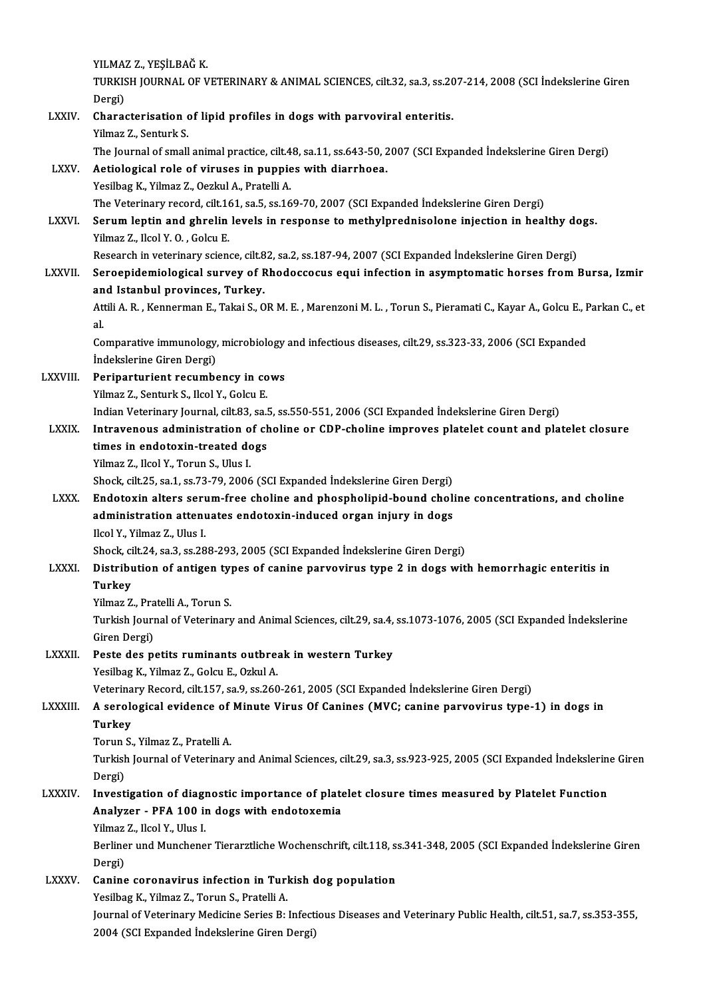|               | YILMAZ Z, YEŞİLBAĞ K.                                                                                                                                                                          |
|---------------|------------------------------------------------------------------------------------------------------------------------------------------------------------------------------------------------|
|               | TURKISH JOURNAL OF VETERINARY & ANIMAL SCIENCES, cilt.32, sa.3, ss.207-214, 2008 (SCI Indekslerine Giren<br>Dergi)                                                                             |
| LXXIV.        | Characterisation of lipid profiles in dogs with parvoviral enteritis.<br>Yilmaz Z., Senturk S.                                                                                                 |
| <b>LXXV</b>   | The Journal of small animal practice, cilt.48, sa.11, ss.643-50, 2007 (SCI Expanded Indekslerine Giren Dergi)<br>Aetiological role of viruses in puppies with diarrhoea.                       |
|               | Yesilbag K., Yilmaz Z., Oezkul A., Pratelli A.                                                                                                                                                 |
| <b>LXXVI</b>  | The Veterinary record, cilt.161, sa.5, ss.169-70, 2007 (SCI Expanded Indekslerine Giren Dergi)<br>Serum leptin and ghrelin levels in response to methylprednisolone injection in healthy dogs. |
|               | Yilmaz Z., Ilcol Y. O., Golcu E.                                                                                                                                                               |
|               | Research in veterinary science, cilt.82, sa.2, ss.187-94, 2007 (SCI Expanded İndekslerine Giren Dergi)                                                                                         |
| <b>LXXVII</b> | Seroepidemiological survey of Rhodoccocus equi infection in asymptomatic horses from Bursa, Izmir<br>and Istanbul provinces, Turkey.                                                           |
|               | Attili A. R., Kennerman E., Takai S., OR M. E., Marenzoni M. L., Torun S., Pieramati C., Kayar A., Golcu E., Parkan C., et<br>al.                                                              |
|               | Comparative immunology, microbiology and infectious diseases, cilt.29, ss.323-33, 2006 (SCI Expanded<br>İndekslerine Giren Dergi)                                                              |
| LXXVIII.      | Periparturient recumbency in cows                                                                                                                                                              |
|               | Yilmaz Z., Senturk S., Ilcol Y., Golcu E.                                                                                                                                                      |
|               | Indian Veterinary Journal, cilt.83, sa.5, ss.550-551, 2006 (SCI Expanded Indekslerine Giren Dergi)                                                                                             |
| <b>LXXIX</b>  | Intravenous administration of choline or CDP-choline improves platelet count and platelet closure<br>times in endotoxin-treated dogs                                                           |
|               | Yilmaz Z., Ilcol Y., Torun S., Ulus I.                                                                                                                                                         |
|               | Shock, cilt.25, sa.1, ss.73-79, 2006 (SCI Expanded Indekslerine Giren Dergi)                                                                                                                   |
| <b>LXXX</b>   | Endotoxin alters serum-free choline and phospholipid-bound choline concentrations, and choline<br>administration attenuates endotoxin-induced organ injury in dogs                             |
|               | Ilcol Y., Yilmaz Z., Ulus I.                                                                                                                                                                   |
|               | Shock, cilt.24, sa.3, ss.288-293, 2005 (SCI Expanded Indekslerine Giren Dergi)                                                                                                                 |
| <b>LXXXI</b>  | Distribution of antigen types of canine parvovirus type 2 in dogs with hemorrhagic enteritis in<br>Turkey                                                                                      |
|               | Yilmaz Z, Pratelli A, Torun S.                                                                                                                                                                 |
|               | Turkish Journal of Veterinary and Animal Sciences, cilt.29, sa.4, ss.1073-1076, 2005 (SCI Expanded Indekslerine<br>Giren Dergi)                                                                |
| LXXXII.       | Peste des petits ruminants outbreak in western Turkey                                                                                                                                          |
|               | Yesilbag K., Yilmaz Z., Golcu E., Ozkul A.                                                                                                                                                     |
| LXXXIII.      | Veterinary Record, cilt.157, sa.9, ss.260-261, 2005 (SCI Expanded Indekslerine Giren Dergi)<br>A serological evidence of Minute Virus Of Canines (MVC; canine parvovirus type-1) in dogs in    |
|               | Turkey                                                                                                                                                                                         |
|               | Torun S., Yilmaz Z., Pratelli A.                                                                                                                                                               |
|               | Turkish Journal of Veterinary and Animal Sciences, cilt.29, sa.3, ss.923-925, 2005 (SCI Expanded İndekslerine Giren<br>Dergi)                                                                  |
| <b>LXXXIV</b> | Investigation of diagnostic importance of platelet closure times measured by Platelet Function                                                                                                 |
|               | Analyzer - PFA 100 in dogs with endotoxemia                                                                                                                                                    |
|               | Yilmaz Z., Ilcol Y., Ulus I.<br>Berliner und Munchener Tierarztliche Wochenschrift, cilt.118, ss.341-348, 2005 (SCI Expanded Indekslerine Giren                                                |
|               | Dergi)                                                                                                                                                                                         |
| <b>LXXXV</b>  | Canine coronavirus infection in Turkish dog population                                                                                                                                         |
|               | Yesilbag K., Yilmaz Z., Torun S., Pratelli A.                                                                                                                                                  |
|               | Journal of Veterinary Medicine Series B: Infectious Diseases and Veterinary Public Health, cilt.51, sa.7, ss.353-355,<br>2004 (SCI Expanded Indekslerine Giren Dergi)                          |
|               |                                                                                                                                                                                                |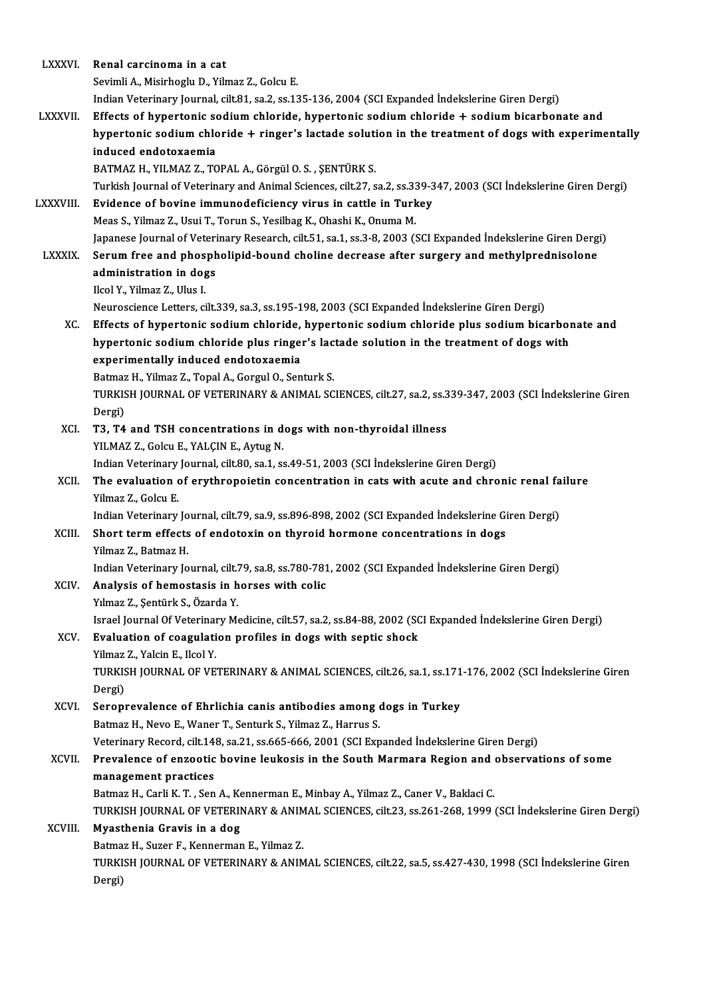| <b>LXXXVI.</b>  | Renal carcinoma in a cat                                                                                                                                          |
|-----------------|-------------------------------------------------------------------------------------------------------------------------------------------------------------------|
|                 | Sevimli A., Misirhoglu D., Yilmaz Z., Golcu E.                                                                                                                    |
|                 | Indian Veterinary Journal, cilt.81, sa.2, ss.135-136, 2004 (SCI Expanded Indekslerine Giren Dergi)                                                                |
| <b>LXXXVII.</b> | Effects of hypertonic sodium chloride, hypertonic sodium chloride + sodium bicarbonate and                                                                        |
|                 | hypertonic sodium chloride + ringer's lactade solution in the treatment of dogs with experimentally                                                               |
|                 | induced endotoxaemia                                                                                                                                              |
|                 | BATMAZ H., YILMAZ Z., TOPAL A., Görgül O. S., ŞENTÜRK S.                                                                                                          |
|                 | Turkish Journal of Veterinary and Animal Sciences, cilt.27, sa.2, ss.339-347, 2003 (SCI İndekslerine Giren Dergi)                                                 |
| <b>LXXXVIII</b> | Evidence of bovine immunodeficiency virus in cattle in Turkey                                                                                                     |
|                 | Meas S., Yilmaz Z., Usui T., Torun S., Yesilbag K., Ohashi K., Onuma M.                                                                                           |
|                 | Japanese Journal of Veterinary Research, cilt.51, sa.1, ss.3-8, 2003 (SCI Expanded İndekslerine Giren Dergi)                                                      |
| <b>LXXXIX</b>   | Serum free and phospholipid-bound choline decrease after surgery and methylprednisolone                                                                           |
|                 | administration in dogs                                                                                                                                            |
|                 | Ilcol Y., Yilmaz Z., Ulus I.                                                                                                                                      |
|                 | Neuroscience Letters, cilt.339, sa.3, ss.195-198, 2003 (SCI Expanded Indekslerine Giren Dergi)                                                                    |
| XC.             | Effects of hypertonic sodium chloride, hypertonic sodium chloride plus sodium bicarbonate and                                                                     |
|                 | hypertonic sodium chloride plus ringer's lactade solution in the treatment of dogs with                                                                           |
|                 | experimentally induced endotoxaemia                                                                                                                               |
|                 | Batmaz H., Yilmaz Z., Topal A., Gorgul O., Senturk S.<br>TURKISH JOURNAL OF VETERINARY & ANIMAL SCIENCES, cilt.27, sa.2, ss.339-347, 2003 (SCI Indekslerine Giren |
|                 | Dergi)                                                                                                                                                            |
| XCI.            | T3, T4 and TSH concentrations in dogs with non-thyroidal illness                                                                                                  |
|                 | YILMAZ Z., Golcu E., YALÇIN E., Aytug N.                                                                                                                          |
|                 | Indian Veterinary Journal, cilt.80, sa.1, ss.49-51, 2003 (SCI Indekslerine Giren Dergi)                                                                           |
| XCII.           | The evaluation of erythropoietin concentration in cats with acute and chronic renal failure                                                                       |
|                 | Yilmaz Z., Golcu E.                                                                                                                                               |
|                 | Indian Veterinary Journal, cilt.79, sa.9, ss.896-898, 2002 (SCI Expanded Indekslerine Giren Dergi)                                                                |
| XCIII.          | Short term effects of endotoxin on thyroid hormone concentrations in dogs                                                                                         |
|                 | Yilmaz Z . Batmaz H .                                                                                                                                             |
|                 | Indian Veterinary Journal, cilt.79, sa.8, ss.780-781, 2002 (SCI Expanded Indekslerine Giren Dergi)                                                                |
| XCIV.           | Analysis of hemostasis in horses with colic                                                                                                                       |
|                 | Yılmaz Z., Şentürk S., Özarda Y.                                                                                                                                  |
|                 | Israel Journal Of Veterinary Medicine, cilt.57, sa.2, ss.84-88, 2002 (SCI Expanded Indekslerine Giren Dergi)                                                      |
| XCV.            | Evaluation of coagulation profiles in dogs with septic shock                                                                                                      |
|                 | Yilmaz Z., Yalcin E., Ilcol Y.                                                                                                                                    |
|                 | TURKISH JOURNAL OF VETERINARY & ANIMAL SCIENCES, cilt.26, sa.1, ss.171-176, 2002 (SCI Indekslerine Giren                                                          |
|                 | Dergi)<br>Seroprevalence of Ehrlichia canis antibodies among dogs in Turkey                                                                                       |
| XCVI.           | Batmaz H., Nevo E., Waner T., Senturk S., Yilmaz Z., Harrus S.                                                                                                    |
|                 | Veterinary Record, cilt.148, sa.21, ss.665-666, 2001 (SCI Expanded İndekslerine Giren Dergi)                                                                      |
| XCVII.          | Prevalence of enzootic bovine leukosis in the South Marmara Region and observations of some                                                                       |
|                 | management practices                                                                                                                                              |
|                 | Batmaz H., Carli K. T., Sen A., Kennerman E., Minbay A., Yilmaz Z., Caner V., Baklaci C.                                                                          |
|                 | TURKISH JOURNAL OF VETERINARY & ANIMAL SCIENCES, cilt.23, ss.261-268, 1999 (SCI Indekslerine Giren Dergi)                                                         |
| XCVIII.         | Myasthenia Gravis in a dog                                                                                                                                        |
|                 | Batmaz H., Suzer F., Kennerman E., Yilmaz Z.                                                                                                                      |
|                 | TURKISH JOURNAL OF VETERINARY & ANIMAL SCIENCES, cilt.22, sa.5, ss.427-430, 1998 (SCI Indekslerine Giren                                                          |
|                 | Dergi)                                                                                                                                                            |
|                 |                                                                                                                                                                   |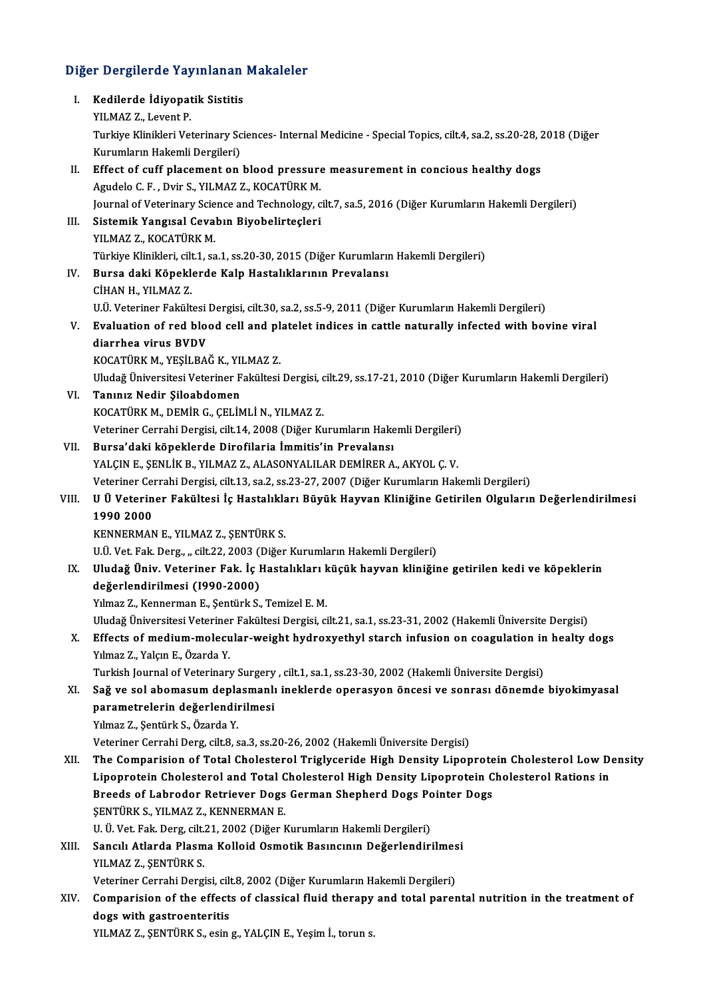# Diğer Dergilerde Yayınlanan Makaleler<br>Diğer Dergilerde Yayınlanan Makaleler

| Diğer Dergilerde Yayınlanan Makaleler |                                                                                                                   |  |
|---------------------------------------|-------------------------------------------------------------------------------------------------------------------|--|
| Ι.                                    | Kedilerde İdiyopatik Sistitis                                                                                     |  |
|                                       | YILMAZ Z, Levent P                                                                                                |  |
|                                       | Turkiye Klinikleri Veterinary Sciences- Internal Medicine - Special Topics, cilt.4, sa.2, ss.20-28, 2018 (Diğer   |  |
|                                       | Kurumların Hakemli Dergileri)                                                                                     |  |
| П.                                    | Effect of cuff placement on blood pressure measurement in concious healthy dogs                                   |  |
|                                       | Agudelo C. F., Dvir S., YILMAZ Z., KOCATÜRK M.                                                                    |  |
|                                       | Journal of Veterinary Science and Technology, cilt.7, sa.5, 2016 (Diğer Kurumların Hakemli Dergileri)             |  |
| III.                                  | Sistemik Yangısal Cevabın Biyobelirteçleri                                                                        |  |
|                                       | YILMAZ Z., KOCATÜRK M.                                                                                            |  |
|                                       | Türkiye Klinikleri, cilt.1, sa.1, ss.20-30, 2015 (Diğer Kurumların Hakemli Dergileri)                             |  |
| IV.                                   | Bursa daki Köpeklerde Kalp Hastalıklarının Prevalansı                                                             |  |
|                                       | CİHAN H., YILMAZ Z.                                                                                               |  |
|                                       | U.Ü. Veteriner Fakültesi Dergisi, cilt.30, sa.2, ss.5-9, 2011 (Diğer Kurumların Hakemli Dergileri)                |  |
| V.                                    | Evaluation of red blood cell and platelet indices in cattle naturally infected with bovine viral                  |  |
|                                       | diarrhea virus BVDV                                                                                               |  |
|                                       | KOCATÜRK M., YEŞİLBAĞ K., YILMAZ Z.                                                                               |  |
|                                       | Uludağ Üniversitesi Veteriner Fakültesi Dergisi, cilt.29, ss.17-21, 2010 (Diğer Kurumların Hakemli Dergileri)     |  |
| VI.                                   | Tanınız Nedir Şiloabdomen                                                                                         |  |
|                                       | KOCATÜRK M., DEMİR G., ÇELİMLİ N., YILMAZ Z.                                                                      |  |
|                                       | Veteriner Cerrahi Dergisi, cilt.14, 2008 (Diğer Kurumların Hakemli Dergileri)                                     |  |
| VII.                                  | Bursa'daki köpeklerde Dirofilaria İmmitis'in Prevalansı                                                           |  |
|                                       | YALÇIN E., ŞENLİK B., YILMAZ Z., ALASONYALILAR DEMİRER A., AKYOL Ç. V.                                            |  |
| VIII.                                 | Veteriner Cerrahi Dergisi, cilt.13, sa.2, ss.23-27, 2007 (Diğer Kurumların Hakemli Dergileri)                     |  |
|                                       | U Ü Veteriner Fakültesi İç Hastalıkları Büyük Hayvan Kliniğine Getirilen Olguların Değerlendirilmesi<br>1990 2000 |  |
|                                       | KENNERMAN E., YILMAZ Z., ŞENTÜRK S.                                                                               |  |
|                                       | U.Ü. Vet. Fak. Derg., "cilt.22, 2003 (Diğer Kurumların Hakemli Dergileri)                                         |  |
| IX.                                   | Uludağ Üniv. Veteriner Fak. İç Hastalıkları küçük hayvan kliniğine getirilen kedi ve köpeklerin                   |  |
|                                       | değerlendirilmesi (1990-2000)                                                                                     |  |
|                                       | Yılmaz Z., Kennerman E., Şentürk S., Temizel E. M.                                                                |  |
|                                       | Uludağ Üniversitesi Veteriner Fakültesi Dergisi, cilt.21, sa.1, ss.23-31, 2002 (Hakemli Üniversite Dergisi)       |  |
| X.                                    | Effects of medium-molecular-weight hydroxyethyl starch infusion on coagulation in healty dogs                     |  |
|                                       | Yılmaz Z, Yalçın E, Özarda Y.                                                                                     |  |
|                                       | Turkish Journal of Veterinary Surgery, cilt.1, sa.1, ss.23-30, 2002 (Hakemli Üniversite Dergisi)                  |  |
| XI.                                   | Sağ ve sol abomasum deplasmanlı ineklerde operasyon öncesi ve sonrası dönemde biyokimyasal                        |  |
|                                       | parametrelerin değerlendirilmesi                                                                                  |  |
|                                       | Yılmaz Z., Şentürk S., Özarda Y.                                                                                  |  |
|                                       | Veteriner Cerrahi Derg, cilt.8, sa.3, ss.20-26, 2002 (Hakemli Üniversite Dergisi)                                 |  |
| XII.                                  | The Comparision of Total Cholesterol Triglyceride High Density Lipoprotein Cholesterol Low Density                |  |
|                                       | Lipoprotein Cholesterol and Total Cholesterol High Density Lipoprotein Cholesterol Rations in                     |  |
|                                       | Breeds of Labrodor Retriever Dogs German Shepherd Dogs Pointer Dogs                                               |  |
|                                       | ŞENTÜRK S., YILMAZ Z., KENNERMAN E.                                                                               |  |
|                                       | U. Ü. Vet. Fak. Derg, cilt.21, 2002 (Diğer Kurumların Hakemli Dergileri)                                          |  |
| XIII.                                 | Sancılı Atlarda Plasma Kolloid Osmotik Basıncının Değerlendirilmesi                                               |  |
|                                       | YILMAZ Z, ŞENTÜRK S.                                                                                              |  |
|                                       | Veteriner Cerrahi Dergisi, cilt.8, 2002 (Diğer Kurumların Hakemli Dergileri)                                      |  |
| XIV.                                  | Comparision of the effects of classical fluid therapy and total parental nutrition in the treatment of            |  |
|                                       | dogs with gastroenteritis                                                                                         |  |
|                                       | YILMAZ Z., ŞENTÜRK S., esin g., YALÇIN E., Yeşim İ., torun s.                                                     |  |
|                                       |                                                                                                                   |  |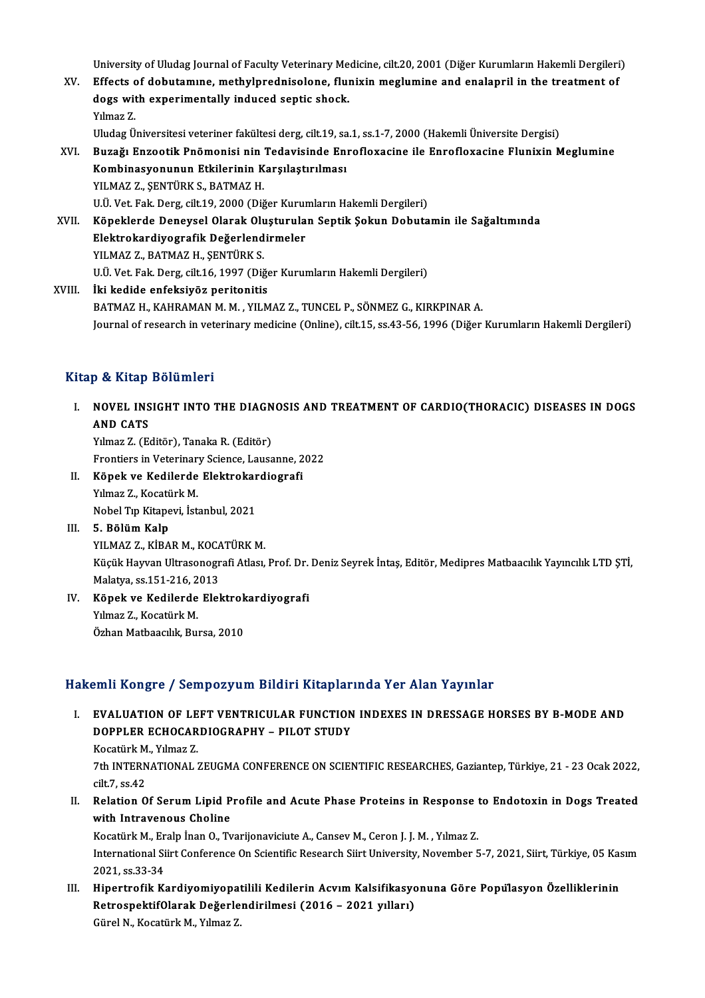University of Uludag Journal of Faculty Veterinary Medicine, cilt.20, 2001 (Diğer Kurumların Hakemli Dergileri)<br>Effecte of debutemune, methylnnedniselene, fluniyin meglumine and englennil in the treatment of

University of Uludag Journal of Faculty Veterinary Medicine, cilt.20, 2001 (Diğer Kurumların Hakemli Dergileri<br>XV. Effects of dobutamıne, methylprednisolone, flunixin meglumine and enalapril in the treatment of University of Uludag Journal of Faculty Veterinary Me<br>Effects of dobutamine, methylprednisolone, flui<br>dogs with experimentally induced septic shock.<br>Vilmag 7 Effects of dobutamine, methylprednisolone, flunixin meglumine and enalapril in the treatment of dogs with experimentally induced septic shock.<br>Yilmaz Z.

UludagÜniversitesiveteriner fakültesiderg, cilt.19, sa.1, ss.1-7,2000 (HakemliÜniversiteDergisi)

XVI. Buzağı Enzootik Pnömonisi nin Tedavisinde Enrofloxacine ile Enrofloxacine Flunixin Meglumine Uludag Üniversitesi veteriner fakültesi derg, cilt.19, sa<br>Buzağı Enzootik Pnömonisi nin Tedavisinde En:<br>Kombinasyonunun Etkilerinin Karşılaştırılması<br>YU MAZ Z. SENTÜRK S. RATMAZ H Buzağı Enzootik Pnömonisi nin<br>Kombinasyonunun Etkilerinin K<br>YILMAZ Z., ŞENTÜRK S., BATMAZ H.<br>HÜ Vet Fak Ders sik 19, 2000 (Diğ Kombinasyonunun Etkilerinin Karşılaştırılması<br>YILMAZ Z., ŞENTÜRK S., BATMAZ H.<br>U.Ü. Vet. Fak. Derg, cilt.19, 2000 (Diğer Kurumların Hakemli Dergileri)<br>Köneklerde Denevsel Olarek Olusturulan Sentik Sekun Debuta YILMAZ Z., ŞENTÜRK S., BATMAZ H.<br>U.Ü. Vet. Fak. Derg, cilt.19, 2000 (Diğer Kurumların Hakemli Dergileri)<br>XVII. Köpeklerde Deneysel Olarak Oluşturulan Septik Şokun Dobutamin ile Sağaltımında<br>Flaktrokardiyesrefik Değerle U.Ü. Vet. Fak. Derg, cilt.19, 2000 (Diğer Kurun<br>Köpeklerde Deneysel Olarak Oluşturula<br>Elektrokardiyografik Değerlendirmeler<br>VILMAZ Z. PATMAZ U. SENTÜRK S Köpeklerde Deneysel Olarak Olu<br>Elektrokardiyografik Değerlend<br>YILMAZ Z., BATMAZ H., ŞENTÜRK S.<br>UÜ Vet Fek Ders sik 16, 1997 (Diğ

Elektrokardiyografik Değerlendirmeler<br>YILMAZ Z., BATMAZ H., ŞENTÜRK S.<br>U.Ü. Vet. Fak. Derg, cilt.16, 1997 (Diğer Kurumların Hakemli Dergileri)

XVIII. İki kedide enfeksiyöz peritonitis BATMAZ H., KAHRAMAN M. M., YILMAZ Z., TUNCEL P., SÖNMEZ G., KIRKPINAR A. Journal of research in veterinary medicine (Online), cilt.15, ss.43-56, 1996 (Diğer Kurumların Hakemli Dergileri)

## Kitap & Kitap Bölümleri

Itap & Kitap Bölümleri<br>I. NOVEL INSIGHT INTO THE DIAGNOSIS AND TREATMENT OF CARDIO(THORACIC) DISEASES IN DOGS<br>AND CATS NOVEL INS<br>AND CATS<br>Vilmag 7 (E) **NOVEL INSIGHT INTO THE DIAGN<br>AND CATS<br>Yılmaz Z. (Editör), Tanaka R. (Editör)<br>Frantiers in Veterinary Science, Lauss** 

AND CATS<br>Yılmaz Z. (Editör), Tanaka R. (Editör)<br>Frontiers in Veterinary Science, Lausanne, 2022<br>Könek ve Kedilerde Elektrekardiografi

- Yılmaz Z. (Editör), Tanaka R. (Editör)<br>Frontiers in Veterinary Science, Lausanne, 2<br>II. Köpek ve Kedilerde Elektrokardiografi<br>Yılmaz Z., Kocatürk M. Frontiers in Veterinar<br>**Köpek ve Kedilerde**<br>Yılmaz Z., Kocatürk M.<br>Nebel Tın Kitanevi, İst K<mark>öpek ve Kedilerde Elektrokar</mark><br>Yılmaz Z., Kocatürk M.<br>Nobel Tıp Kitapevi, İstanbul, 2021<br>E. Bölüm Kelp
- III. 5. Bölüm Kalp<br>YILMAZ Z., KİBAR M., KOCATÜRK M. Nobel Tıp Kitapevi, İstanbul, 2021<br>5. Bölüm Kalp<br>YILMAZ Z., KİBAR M., KOCATÜRK M.<br><sup>Küzül</sup>i Hayyan Ultrasanasını<sup>6</sup>i Atlay 5. Bölüm Kalp<br>YILMAZ Z., KİBAR M., KOCATÜRK M.<br>Küçük Hayvan Ultrasonografi Atlası, Prof. Dr. Deniz Seyrek İntaş, Editör, Medipres Matbaacılık Yayıncılık LTD ŞTİ, YILMAZ Z., KİBAR M., KOCA<br>Küçük Hayvan Ultrasonogr<br>Malatya, ss.151-216, 2013<br>Könek ve Kedilerde Elel Küçük Hayvan Ultrasonografi Atlası, Prof. Dr.<br>Malatya, ss.151-216, 2013<br>IV. Köpek ve Kedilerde Elektrokardiyografi<br>V. Wimar 7. Kosatürk M
- Malatya, ss.151-216, 2013<br>Köpek ve Kedilerde Elektrol<br>Yılmaz Z., Kocatürk M.<br>Özhan Matbaacılık, Bursa, 2010 <mark>Köpek ve Kedilerde Elektrok</mark><br>Yılmaz Z., Kocatürk M.<br>Özhan Matbaacılık, Bursa, 2010

## Hakemli Kongre / Sempozyum Bildiri Kitaplarında Yer Alan Yayınlar

- akemli Kongre / Sempozyum Bildiri Kitaplarında Yer Alan Yayınlar<br>I. EVALUATION OF LEFT VENTRICULAR FUNCTION INDEXES IN DRESSAGE HORSES BY B-MODE AND<br>DOPELER ECHOCARDIOCRAPHY BU OT STUDY SANT RORGEO / OSMPOLJ UM STUNTI RRUPUT<br>EVALUATION OF LEFT VENTRICULAR FUNCTION<br>DOPPLER ECHOCARDIOGRAPHY – PILOT STUDY EVALUATION OF LE<br>DOPPLER ECHOCAR<br>Kocatürk M., Yılmaz Z.<br>7th INTERNATIONAL 7
	-

DOPPLER ECHOCARDIOGRAPHY – PILOT STUDY<br>Kocatürk M., Yılmaz Z.<br>7th INTERNATIONAL ZEUGMA CONFERENCE ON SCIENTIFIC RESEARCHES, Gaziantep, Türkiye, 21 - 23 Ocak 2022,<br>8<sup>11: 7,</sup> 88.42 Kocatürk M<br>7th INTERN<br>cilt.7, ss.42<br>Bolation O Th INTERNATIONAL ZEUGMA CONFERENCE ON SCIENTIFIC RESEARCHES, Gaziantep, Türkiye, 21 - 23 Ocak 2022,<br>cilt.7, ss.42<br>II. Relation Of Serum Lipid Profile and Acute Phase Proteins in Response to Endotoxin in Dogs Treated<br>with I

cilt.7, ss.42<br>II. Relation Of Serum Lipid Profile and Acute Phase Proteins in Response to Endotoxin in Dogs Treated<br>with Intravenous Choline Relation Of Serum Lipid Profile and Acute Phase Proteins in Response<br>with Intravenous Choline<br>Kocatürk M., Eralp İnan O., Tvarijonaviciute A., Cansev M., Ceron J. J. M. , Yılmaz Z.<br>International Siint Conference On Scienti

International Siirt Conference On Scientific Research Siirt University, November 5-7, 2021, Siirt, Türkiye, 05 Kasım<br>2021, ss.33-34 Kocatürk M., Er<br>International Si<br>2021, ss.33-34<br>Hinortrofik K International Siirt Conference On Scientific Research Siirt University, November 5-7, 2021, Siirt, Türkiye, 05 Kas<br>2021, ss.33-34<br>III. Hipertrofik Kardiyomiyopatilili Kedilerin Acvım Kalsifikasyonuna Göre Popülasyon Özelli

2021, ss.33-34<br>Hipertrofik Kardiyomiyopatilili Kedilerin Acvım Kalsifikasyo<br>RetrospektifOlarak Değerlendirilmesi (2016 – 2021 yılları)<br>Gürel N. Kesstürk M. Yılmaz 7 Hipertrofik Kardiyomiyopat<br>RetrospektifOlarak Değerle<br>Gürel N., Kocatürk M., Yılmaz Z.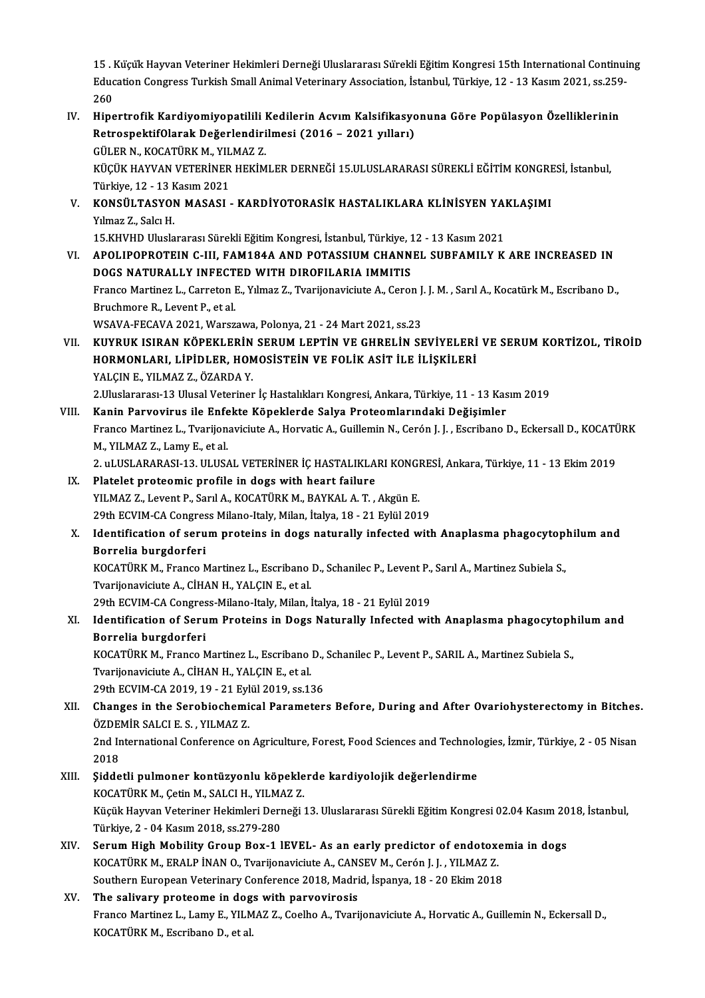15 . Küçük Hayvan Veteriner Hekimleri Derneği Uluslararası Sürekli Eğitim Kongresi 15th International Continuing<br>Education Congress Turkich Small Animal Veterinery Association, İstanbul, Türkiye 12, 13 Kesun 2021, ss.350, 15 . Küçük Hayvan Veteriner Hekimleri Derneği Uluslararası Sürekli Eğitim Kongresi 15th International Continui<br>Education Congress Turkish Small Animal Veterinary Association, İstanbul, Türkiye, 12 - 13 Kasım 2021, ss.259-15<br>Educ<br>260<br>Hine Education Congress Turkish Small Animal Veterinary Association, İstanbul, Türkiye, 12 - 13 Kasım 2021, ss.259<br>260<br>IV. Hipertrofik Kardiyomiyopatilili Kedilerin Acvım Kalsifikasyonuna Göre Popülasyon Özelliklerinin

260<br>Hipertrofik Kardiyomiyopatilili Kedilerin Acvım Kalsifikasyo<br>RetrospektifOlarak Değerlendirilmesi (2016 – 2021 yılları)<br>CÜLER N. KOCATÜRK M. YU MAZ 7 Hipertrofik Kardiyomiyopatilili<br>RetrospektifOlarak Değerlendiri<br>GÜLER N., KOCATÜRK M., YILMAZ Z.<br>VÜCÜK HAYVAN VETERİNER HEKİM

RetrospektifOlarak Değerlendirilmesi (2016 – 2021 yılları)<br>GÜLER N., KOCATÜRK M., YILMAZ Z.<br>KÜÇÜK HAYVAN VETERİNER HEKİMLER DERNEĞİ 15.ULUSLARARASI SÜREKLİ EĞİTİM KONGRESİ, İstanbul,<br>Türkiye 12, 13 Kasım 2021 GÜLER N., KOCATÜRK M., YIL<br>KÜÇÜK HAYVAN VETERİNER<br>Türkiye, 12 - 13 Kasım 2021<br>KONSÜJ TASYON MASASI KÜÇÜK HAYVAN VETERİNER HEKİMLER DERNEĞİ 15.ULUSLARARASI SÜREKLİ EĞİTİM KONGRE<br>Türkiye, 12 - 13 Kasım 2021<br>V. KONSÜLTASYON MASASI - KARDİYOTORASİK HASTALIKLARA KLİNİSYEN YAKLAŞIMI<br>V. Yumaz 7 - Salat H

Türkiye, 12 - 13 <mark>F</mark><br>**KONSÜLTASYO!**<br>Yılmaz Z., Salcı H.<br>15 Yuvun Ulusla KONSÜLTASYON MASASI - KARDİYOTORASİK HASTALIKLARA KLİNİSYEN YAI<br>15.KHVHD Uluslararası Sürekli Eğitim Kongresi, İstanbul, Türkiye, 12 - 13 Kasım 2021<br>AROLIRORROTELN G.UL FAM194A AND ROTASSUM GUANNEL SURFAMU V.K

15.KHVHD Uluslararası Sürekli Eğitim Kongresi, İstanbul, Türkiye, 12 - 13 Kasım 2021

Yılmaz Z., Salcı H.<br>15.KHVHD Uluslararası Sürekli Eğitim Kongresi, İstanbul, Türkiye, 12 - 13 Kasım 2021<br>VI. APOLIPOPROTEIN C-III, FAM184A AND POTASSIUM CHANNEL SUBFAMILY K ARE INCREASED IN<br>DOGS NATURALLY INFECTED WITH APOLIPOPROTEIN C-III, FAM184A AND POTASSIUM CHANNEL SUBFAMILY K ARE INCREASED IN<br>DOGS NATURALLY INFECTED WITH DIROFILARIA IMMITIS<br>Franco Martinez L., Carreton E., Yılmaz Z., Tvarijonaviciute A., Ceron J. J. M. , Sarıl A.,

**DOGS NATURALLY INFECT**<br>Franco Martinez L., Carreton I<br>Bruchmore R., Levent P., et al.<br>WSAVA EECAVA 2021 WORET Franco Martinez L., Carreton E., Yılmaz Z., Tvarijonaviciute A., Ceron J.<br>Bruchmore R., Levent P., et al.<br>WSAVA-FECAVA 2021, Warszawa, Polonya, 21 - 24 Mart 2021, ss.23<br>WIWBUK ISIBAN KÖREKLERİN SERUM LERTİN VE GURELİN SE

Bruchmore R., Levent P., et al.<br>WSAVA-FECAVA 2021, Warszawa, Polonya, 21 - 24 Mart 2021, ss.23<br>VII. KUYRUK ISIRAN KÖPEKLERİN SERUM LEPTİN VE GHRELİN SEVİYELERİ VE SERUM KORTİZOL, TİROİD<br>HOPMONI ARL LİRİDI ER, HOMOSİSTE WSAVA-FECAVA 2021, Warszawa, Polonya, 21 - 24 Mart 2021, ss.23<br>KUYRUK ISIRAN KÖPEKLERİN SERUM LEPTİN VE GHRELİN SEVİYELERİ<br>HORMONLARI, LİPİDLER, HOMOSİSTEİN VE FOLİK ASİT İLE İLİŞKİLERİ<br>YALCINE XILMAZ Z. ÖZAPDA V KUYRUK ISIRAN KÖPEKLERİN<br>HORMONLARI, LİPİDLER, HON<br>YALÇIN E., YILMAZ Z., ÖZARDA Y.<br>2 Huslanarası 13 Husal Vatarinar HORMONLARI, LİPİDLER, HOMOSİSTEİN VE FOLİK ASİT İLE İLİŞKİLERİ<br>YALÇIN E., YILMAZ Z., ÖZARDA Y.<br>2.Uluslararası-13 Ulusal Veteriner İç Hastalıkları Kongresi, Ankara, Türkiye, 11 - 13 Kasım 2019<br>Kanin Bayyayiyye ile Enfekte K YALÇIN E., YILMAZ Z., ÖZARDA Y.<br>2.Uluslararası-13 Ulusal Veteriner İç Hastalıkları Kongresi, Ankara, Türkiye, 11 - 13 Kas<br>11 VIII. Kanin Parvovirus ile Enfekte Köpeklerde Salya Proteomlarındaki Değişimler

- Franco Martinez L., Tvarijonaviciute A., Horvatic A., Guillemin N., Cerón J. J. , Escribano D., Eckersall D., KOCATÜRK<br>M., YILMAZ Z., Lamy E., et al. Kanin Parvovirus ile Enfekte Köpeklerde Salya Proteomlarındaki Değişimler Franco Martinez L., Tvarijonaviciute A., Horvatic A., Guillemin N., Cerón J. J. , Escribano D., Eckersall D., KOCATÜ<br>M., YILMAZ Z., Lamy E., et al.<br>2. uLUSLARARASI-13. ULUSAL VETERİNER İÇ HASTALIKLARI KONGRESİ, Ankara, Tür
- IX. Platelet proteomic profile in dogs with heart failure<br>YILMAZ Z., Levent P., Sarıl A., KOCATÜRK M., BAYKAL A. T., Akgün E. 2. uLUSLARARASI-13. ULUSAL VETERİNER İÇ HASTALIKLARI KONGI<br>Platelet proteomic profile in dogs with heart failure<br>YILMAZ Z., Levent P., Sarıl A., KOCATÜRK M., BAYKAL A. T. , Akgün E.<br>20th ECVIM CA Congress Milano Italy Mila 29th ECVIM-CA Congress Milano-Italy, Milan, İtalya, 18 - 21 Eylül 2019

## X. Identification of serum proteins in dogs naturally infected with Anaplasma phagocytophilum and Borrelia burgdorferi Identification of serum proteins in dogs naturally infected with Anaplasma phagocytop<br>Borrelia burgdorferi<br>KOCATÜRK M., Franco Martinez L., Escribano D., Schanilec P., Levent P., Sarıl A., Martinez Subiela S.,<br>Tyarijonavis

Borrelia burgdorferi<br>KOCATÜRK M., Franco Martinez L., Escribano<br>Tvarijonaviciute A., CİHAN H., YALÇIN E., et al.<br>20th ECVIM CA Congrees Milane Italy Milan İ KOCATÜRK M., Franco Martinez L., Escribano D., Schanilec P., Levent P.,<br>Tvarijonaviciute A., CİHAN H., YALÇIN E., et al.<br>29th ECVIM-CA Congress-Milano-Italy, Milan, İtalya, 18 - 21 Eylül 2019<br>Identification of Serum Protei

Tvarijonaviciute A., CİHAN H., YALÇIN E., et al.<br>29th ECVIM-CA Congress-Milano-Italy, Milan, İtalya, 18 - 21 Eylül 2019<br>XI. Identification of Serum Proteins in Dogs Naturally Infected with Anaplasma phagocytophilum and<br>Bor 29th ECVIM-CA Congres<br>Identification of Seru<br>Borrelia burgdorferi<br>KOCATÜPK M. Erange N Identification of Serum Proteins in Dogs Naturally Infected with Anaplasma phagocytoph<br>Borrelia burgdorferi<br>KOCATÜRK M., Franco Martinez L., Escribano D., Schanilec P., Levent P., SARIL A., Martinez Subiela S.,<br>Typrijopovi

Borrelia burgdorferi<br>KOCATÜRK M., Franco Martinez L., Escribano<br>Tvarijonaviciute A., CİHAN H., YALÇIN E., et al.<br>20th ECVIM CA 2010-19 - 21 Erlül 2010-se 1 KOCATÜRK M., Franco Martinez L., Escribano D.,<br>Tvarijonaviciute A., CİHAN H., YALÇIN E., et al.<br>29th ECVIM-CA 2019, 19 - 21 Eylül 2019, ss.136<br>Changes in the Serebiechemical Parameter

Tvarijonaviciute A., CİHAN H., YALÇIN E., et al.<br>29th ECVIM-CA 2019, 19 - 21 Eylül 2019, ss.136<br>XII. Changes in the Serobiochemical Parameters Before, During and After Ovariohysterectomy in Bitches.<br>ÖZDEMİR SALCLE S. Y 29th ECVIM-CA 2019, 19 - 21 Eyl<br>Changes in the Serobiochemi<br>ÖZDEMİR SALCI E. S. , YILMAZ Z.<br>2nd International Conference on Changes in the Serobiochemical Parameters Before, During and After Ovariohysterectomy in Bitches<br>ÖZDEMİR SALCI E. S. , YILMAZ Z.<br>2nd International Conference on Agriculture, Forest, Food Sciences and Technologies, İzmir, T ÖZDEMİR SALCI E. S. , YILMAZ Z.<br>2nd International Conference on Agriculture, Forest, Food Sciences and Technologies, İzmir, Türkiye, 2 - 05 Nisan<br>2018

2nd International Conference on Agriculture, Forest, Food Sciences and Technolo<br>2018<br>XIII. Siddetli pulmoner kontüzyonlu köpeklerde kardiyolojik değerlendirme<br>2006 TÜRZM Cetin M SALCH VILMAZZ

- 2018<br>Şiddetli pulmoner kontüzyonlu köpekle<br>KOCATÜRK M., Çetin M., SALCI H., YILMAZ Z.<br>Küçük Hayyan Veteriner Hekimleri Derneği Küçük Hayvan Veteriner Hekimleri Derneği 13. Uluslararası Sürekli Eğitim Kongresi 02.04 Kasım 2018, İstanbul,<br>Türkiye, 2 - 04 Kasım 2018, ss.279-280 KOCATÜRK M., Çetin M., SALCI H., YILMAZ Z. Küçük Hayvan Veteriner Hekimleri Derneği 13. Uluslararası Sürekli Eğitim Kongresi 02.04 Kasım 20<br>Türkiye, 2 - 04 Kasım 2018, ss.279-280<br>XIV. Serum High Mobility Group Box-1 lEVEL- As an early predictor of endotoxemia in do
- Türkiye, 2 04 Kasım 2018, ss.279-280<br>Serum High Mobility Group Box-1 IEVEL- As an early predictor of endotox<br>KOCATÜRK M., ERALP İNAN O., Tvarijonaviciute A., CANSEV M., Cerón J. J. , YILMAZ Z.<br>Seuthern Eurensen Veterinar Serum High Mobility Group Box-1 lEVEL- As an early predictor of endotoxer<br>KOCATÜRK M., ERALP İNAN O., Tvarijonaviciute A., CANSEV M., Cerón J. J. , YILMAZ Z.<br>Southern European Veterinary Conference 2018, Madrid, İspanya, 1 KOCATÜRK M., ERALP İNAN O., Tvarijonaviciute A., CANSEV M., Cerón J. J. , YILMAZ Z.<br>Southern European Veterinary Conference 2018, Madrid, İspanya, 18 - 20 Ekim 2018<br>XV. The salivary proteome in dogs with parvovirosis
- Franco Martinez L., Lamy E., YILMAZ Z., Coelho A., Tvarijonaviciute A., Horvatic A., Guillemin N., Eckersall D., KOCATÜRK M., Escribano D., et al.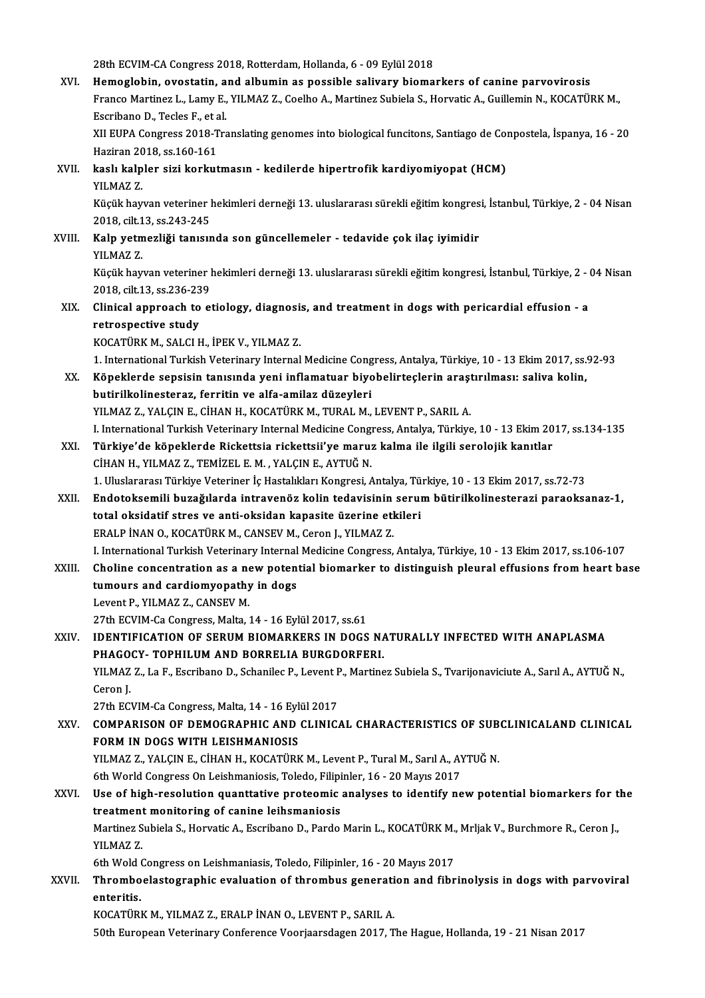28th ECVIM-CA Congress 2018, Rotterdam, Hollanda, 6 - 09 Eylül 2018

28th ECVIM-CA Congress 2018, Rotterdam, Hollanda, 6 - 09 Eylül 2018<br>XVI. Hemoglobin, ovostatin, and albumin as possible salivary biomarkers of canine parvovirosis<br>France Martinez L. Lamy F. VII MAZ Z. Coelho A. Martinez Su 28th ECVIM-CA Congress 2018, Rotterdam, Hollanda, 6 - 09 Eylül 2018<br>Hemoglobin, ovostatin, and albumin as possible salivary biomarkers of canine parvovirosis<br>Franco Martinez L., Lamy E., YILMAZ Z., Coelho A., Martinez Subi Hemoglobin, ovostatin, a<br>Franco Martinez L., Lamy E.,<br>Escribano D., Tecles F., et al.<br>VII EUDA Congress 2019 Tre Franco Martinez L., Lamy E., YILMAZ Z., Coelho A., Martinez Subiela S., Horvatic A., Guillemin N., KOCATÜRK M.,<br>Escribano D., Tecles F., et al.<br>XII EUPA Congress 2018-Translating genomes into biological funcitons, Santiago Escribano D., Tecles F., et a<br>XII EUPA Congress 2018-T<br>Haziran 2018, ss.160-161<br>kaslı kalplar siri korkut XII EUPA Congress 2018-Translating genomes into biological funcitons, Santiago de Cor<br>Haziran 2018, ss.160-161<br>XVII. kaslı kalpler sizi korkutmasın - kedilerde hipertrofik kardiyomiyopat (HCM)<br>VII.MAZ Z Haziran 20<br><mark>kaslı kalp</mark><br>YILMAZ Z.<br>Küçük bay YILMAZ Z.<br>Küçük hayvan veteriner hekimleri derneği 13. uluslararası sürekli eğitim kongresi, İstanbul, Türkiye, 2 - 04 Nisan 2018, cilt.13, ss.243-245 Küçük hayvan veteriner hekimleri derneği 13. uluslararası sürekli eğitim kongres<br>2018, cilt.13, ss.243-245<br>XVIII. Kalp yetmezliği tanısında son güncellemeler - tedavide çok ilaç iyimidir<br>VII.MAZ Z 2018, cilt.1<br>Kalp yetm<br>YILMAZ Z. YILMAZ Z.<br>Küçük hayvan veteriner hekimleri derneği 13. uluslararası sürekli eğitim kongresi, İstanbul, Türkiye, 2 - 04 Nisan YILMAZ Z.<br>Küçük hayvan veteriner l<br>2018, cilt.13, ss.236-239<br>Clinisal annrasab ta al Küçük hayvan veteriner hekimleri derneği 13. uluslararası sürekli eğitim kongresi, İstanbul, Türkiye, 2 - 1<br>2018, cilt.13, ss.236-239<br>XIX. Clinical approach to etiology, diagnosis, and treatment in dogs with pericardia 2018, cilt.13, ss.236-23<br>Clinical approach to<br>retrospective study<br>KOCATÜRK M. SALCLE Clinical approach to etiology, diagnosi:<br>retrospective study<br>KOCATÜRK M., SALCI H., İPEK V., YILMAZ Z.<br>1. International Turkish Veterinary Internal retrospective study<br>1. International Turkish Veterinary Internal Medicine Congress, Antalya, Türkiye, 10 - 13 Ekim 2017, ss.92-93<br>1. International Turkish Veterinary Internal Medicine Congress, Antalya, Türkiye, 10 - 13 Ek KOCATÜRK M., SALCI H., İPEK V., YILMAZ Z.<br>1. International Turkish Veterinary Internal Medicine Congress, Antalya, Türkiye, 10 - 13 Ekim 2017, ss.<br>XX. Köpeklerde sepsisin tanısında yeni inflamatuar biyobelirteçlerin ar 1. International Turkish Veterinary Internal Medicine Cong<br>Köpeklerde sepsisin tanısında yeni inflamatuar biyo<br>butirilkolinesteraz, ferritin ve alfa-amilaz düzeyleri<br>VU MAZ Z. VALCIN E. CİHAN H. KOCATÜRK M. TURAL M Köpeklerde sepsisin tanısında yeni inflamatuar biyobelirteçlerin araşı<br>butirilkolinesteraz, ferritin ve alfa-amilaz düzeyleri<br>YILMAZ Z., YALÇIN E., CİHAN H., KOCATÜRK M., TURAL M., LEVENT P., SARIL A.<br>L. International Turk butirilkolinesteraz, ferritin ve alfa-amilaz düzeyleri<br>I. I. International Turkish Veterinary Internal Medicine Congress, Antalya, Türkiye, 10 - 13 Ekim 2017, ss.134-135<br>I. International Turkish Veterinary Internal Medicin YILMAZ Z., YALÇIN E., CİHAN H., KOCATÜRK M., TURAL M., LEVENT P., SARIL A.<br>I. International Turkish Veterinary Internal Medicine Congress, Antalya, Türkiye, 10 - 13 Ekim 20<br>XXI. Türkiye'de köpeklerde Rickettsia rickett I. International Turkish Veterinary Internal Medicine Congl<br>Türkiye'de köpeklerde Rickettsia rickettsii'ye maru:<br>CİHAN H., YILMAZ Z., TEMİZEL E.M. , YALÇIN E., AYTUĞ N.<br>1. Uluslarares: Türkiye Veteriner İs Hestalıkları Kon Türkiye'de köpeklerde Rickettsia rickettsii'ye maruz kalma ile ilgili serolojik kanıtlar<br>CİHAN H., YILMAZ Z., TEMİZEL E. M. , YALÇIN E., AYTUĞ N.<br>1. Uluslararası Türkiye Veteriner İç Hastalıkları Kongresi, Antalya, Türkiye CİHAN H., YILMAZ Z., TEMİZEL E. M. , YALÇIN E., AYTUĞ N.<br>1. Uluslararası Türkiye Veteriner İç Hastalıkları Kongresi, Antalya, Türkiye, 10 - 13 Ekim 2017, ss.72-73<br>1. XXII. Endotoksemili buzağılarda intravenöz kolin ted 1. Uluslararası Türkiye Veteriner İç Hastalıkları Kongresi, Antalya, Tü<br>Endotoksemili buzağılarda intravenöz kolin tedavisinin serul<br>total oksidatif stres ve anti-oksidan kapasite üzerine etkileri<br>EPALP İNANO, KOCATÜPK M. Endotoksemili buzağılarda intravenöz kolin tedavisinin serum bütirilkolinesterazi paraoksanaz-1,<br>total oksidatif stres ve anti-oksidan kapasite üzerine etkileri<br>ERALP İNAN O., KOCATÜRK M., CANSEV M., Ceron J., YILMAZ Z. total oksidatif stres ve anti-oksidan kapasite üzerine etkileri<br>ERALP İNAN O., KOCATÜRK M., CANSEV M., Ceron J., YILMAZ Z.<br>I. International Turkish Veterinary Internal Medicine Congress, Antalya, Türkiye, 10 - 13 Ekim 2017 ERALP İNAN O., KOCATÜRK M., CANSEV M., Ceron J., YILMAZ Z.<br>I. International Turkish Veterinary Internal Medicine Congress, Antalya, Türkiye, 10 - 13 Ekim 2017, ss.106-107<br>XXIII. Choline concentration as a new potential bio I. International Turkish Veterinary Internal<br>Choline concentration as a new potent<br>tumours and cardiomyopathy in dogs<br>Lavont B, YU MAZ Z, CANSEV M Choline concentration as a new potential biomarker to distinguish pleural effusions from heart base<br>tumours and cardiomyopathy in dogs<br>Levent P., YILMAZ Z., CANSEV M. 27th ECVIM-Ca Congress, Malta, 14 - 16 Eylül 2017, ss.61 XXIV. IDENTIFICATION OF SERUM BIOMARKERS IN DOGS NATURALLY INFECTED WITH ANAPLASMA 27th ECVIM-Ca Congress, Malta, 14 - 16 Eylül 2017, ss.61<br>IDENTIFICATION OF SERUM BIOMARKERS IN DOGS NA<br>PHAGOCY- TOPHILUM AND BORRELIA BURGDORFERI.<br>VILMAZZ, La E. Essribano D. Schaniles P. Levent P. Martine YILMAZ Z., La F., Escribano D., Schanilec P., Levent P., Martinez Subiela S., Tvarijonaviciute A., Sarıl A., AYTUĞN.,<br>Ceron J. PHAGO<br>YILMAZ<br>Ceron J.<br>27th ECJ YILMAZ Z., La F., Escribano D., Schanilec P., Levent F<br>Ceron J.<br>27th ECVIM-Ca Congress, Malta, 14 - 16 Eylül 2017<br>COMBARISON OF DEMOCRARHIC AND CLINIC XXV. COMPARISON OF DEMOGRAPHIC AND CLINICAL CHARACTERISTICS OF SUBCLINICALAND CLINICAL<br>FORM IN DOGS WITH LEISHMANIOSIS 27th ECVIM-Ca Congress, Malta, 14 - 16 Eyl<br>COMPARISON OF DEMOGRAPHIC AND<br>FORM IN DOGS WITH LEISHMANIOSIS<br>VU MAZ Z. VALCIN E. CHAN H. KOCATÜPE COMPARISON OF DEMOGRAPHIC AND CLINICAL CHARACTERISTICS OF SUB<br>FORM IN DOGS WITH LEISHMANIOSIS<br>YILMAZ Z., YALÇIN E., CİHAN H., KOCATÜRK M., Levent P., Tural M., Sarıl A., AYTUĞ N.<br>Eth World Congress On Leishmaniosis Tolodo, FORM IN DOGS WITH LEISHMANIOSIS<br>YILMAZ Z., YALÇIN E., CİHAN H., KOCATÜRK M., Levent P., Tural M., Sarıl A., A)<br>6th World Congress On Leishmaniosis, Toledo, Filipinler, 16 - 20 Mayıs 2017<br>Hae of high resolution quanttative YILMAZ Z., YALÇIN E., CİHAN H., KOCATÜRK M., Levent P., Tural M., Sarıl A., AYTUĞ N.<br>6th World Congress On Leishmaniosis, Toledo, Filipinler, 16 - 20 Mayıs 2017<br>XXVI. Use of high-resolution quanttative proteomic analyses t 6th World Congress On Leishmaniosis, Toledo, Filipinler, 16 - 20 Mayıs 2017 Use of high-resolution quanttative proteomic analyses to identify new potential biomarkers for t<br>treatment monitoring of canine leihsmaniosis<br>Martinez Subiela S., Horvatic A., Escribano D., Pardo Marin L., KOCATÜRK M., Mrl treatment monitoring of canine leihsmaniosis<br>Martinez Subiela S., Horvatic A., Escribano D., Pardo Marin L., KOCATÜRK M.<br>YILMAZ Z.<br>6th Wold Congress on Leishmaniasis, Toledo, Filipinler, 16 - 20 Mayıs 2017 Martinez Subiela S., Horvatic A., Escribano D., Pardo Marin L., KOCATÜRK M., Mrljak V., Burchmore R., Ceron J., YILMAZ Z.<br>6th Wold Congress on Leishmaniasis, Toledo, Filipinler, 16 - 20 Mayıs 2017<br>XXVII. Thromboelastographic evaluation of thrombus generation and fibrinolysis in dogs with parvoviral<br>ontoritic 6th Wold<br>Thrombo<br>enteritis.<br>KOCATÍPI Thromboelastographic evaluation of thrombus generati<br>enteritis.<br>KOCATÜRK M., YILMAZ Z., ERALP İNAN O., LEVENT P., SARIL A.<br>E<sup>0th European Veterinary</sub>, Corforance Veerisaredasen 2017. T</sup> enteritis.<br>KOCATÜRK M., YILMAZ Z., ERALP İNAN O., LEVENT P., SARIL A.<br>50th European Veterinary Conference Voorjaarsdagen 2017, The Hague, Hollanda, 19 - 21 Nisan 2017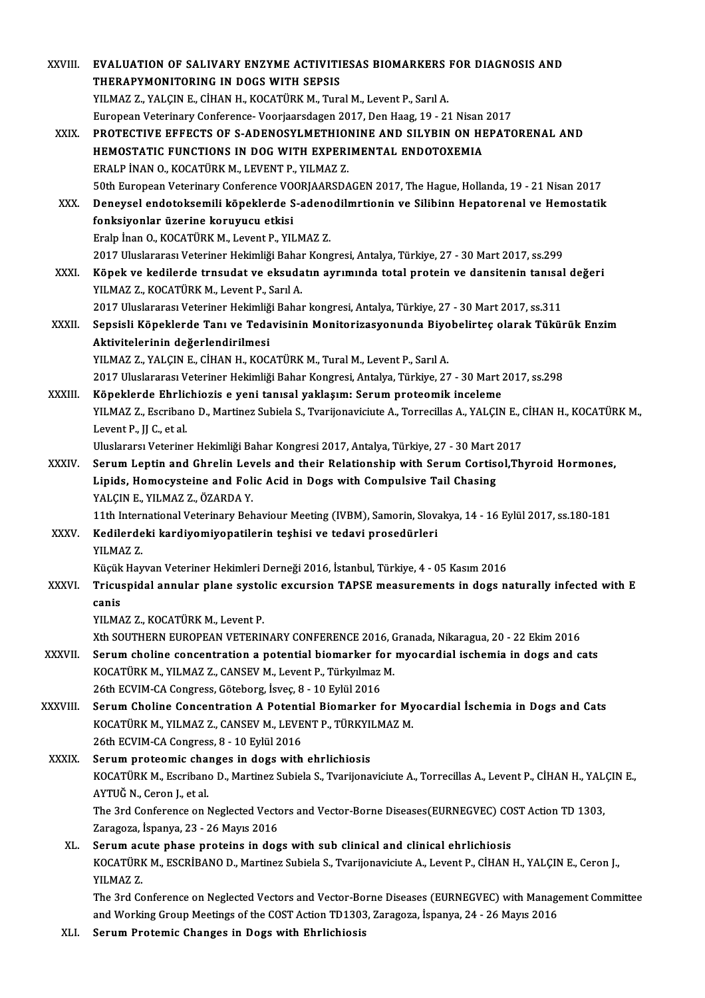| XXVIII.      | EVALUATION OF SALIVARY ENZYME ACTIVITIESAS BIOMARKERS FOR DIAGNOSIS AND                                                                                                                           |
|--------------|---------------------------------------------------------------------------------------------------------------------------------------------------------------------------------------------------|
|              | THERAPYMONITORING IN DOGS WITH SEPSIS                                                                                                                                                             |
|              | YILMAZ Z., YALÇIN E., CİHAN H., KOCATÜRK M., Tural M., Levent P., Sarıl A.                                                                                                                        |
|              | European Veterinary Conference-Voorjaarsdagen 2017, Den Haag, 19 - 21 Nisan 2017                                                                                                                  |
| XXIX.        | PROTECTIVE EFFECTS OF S-ADENOSYLMETHIONINE AND SILYBIN ON HEPATORENAL AND                                                                                                                         |
|              | HEMOSTATIC FUNCTIONS IN DOG WITH EXPERIMENTAL ENDOTOXEMIA                                                                                                                                         |
|              | ERALP İNAN O., KOCATÜRK M., LEVENT P., YILMAZ Z.                                                                                                                                                  |
|              | 50th European Veterinary Conference VOORJAARSDAGEN 2017, The Hague, Hollanda, 19 - 21 Nisan 2017                                                                                                  |
| XXX.         | Deneysel endotoksemili köpeklerde S-adenodilmrtionin ve Silibinn Hepatorenal ve Hemostatik                                                                                                        |
|              | fonksiyonlar üzerine koruyucu etkisi                                                                                                                                                              |
|              | Eralp İnan O., KOCATÜRK M., Levent P., YILMAZ Z.                                                                                                                                                  |
|              | 2017 Uluslararası Veteriner Hekimliği Bahar Kongresi, Antalya, Türkiye, 27 - 30 Mart 2017, ss.299                                                                                                 |
| XXXI.        | Köpek ve kedilerde trnsudat ve eksudatın ayrımında total protein ve dansitenin tanısal değeri                                                                                                     |
|              | YILMAZ Z., KOCATÜRK M., Levent P., Sarıl A.                                                                                                                                                       |
| XXXII.       | 2017 Uluslararası Veteriner Hekimliği Bahar kongresi, Antalya, Türkiye, 27 - 30 Mart 2017, ss.311<br>Sepsisli Köpeklerde Tanı ve Tedavisinin Monitorizasyonunda Biyobelirteç olarak Tükürük Enzim |
|              | Aktivitelerinin değerlendirilmesi                                                                                                                                                                 |
|              | YILMAZ Z., YALÇIN E., CİHAN H., KOCATÜRK M., Tural M., Levent P., Sarıl A.                                                                                                                        |
|              | 2017 Uluslararası Veteriner Hekimliği Bahar Kongresi, Antalya, Türkiye, 27 - 30 Mart 2017, ss.298                                                                                                 |
| XXXIII.      | Köpeklerde Ehrlichiozis e yeni tanısal yaklaşım: Serum proteomik inceleme                                                                                                                         |
|              | YILMAZ Z., Escribano D., Martinez Subiela S., Tvarijonaviciute A., Torrecillas A., YALÇIN E., CİHAN H., KOCATÜRK M.,                                                                              |
|              | Levent P., JJ C., et al.                                                                                                                                                                          |
|              | Uluslararsı Veteriner Hekimliği Bahar Kongresi 2017, Antalya, Türkiye, 27 - 30 Mart 2017                                                                                                          |
| <b>XXXIV</b> | Serum Leptin and Ghrelin Levels and their Relationship with Serum Cortisol, Thyroid Hormones,                                                                                                     |
|              | Lipids, Homocysteine and Folic Acid in Dogs with Compulsive Tail Chasing                                                                                                                          |
|              | YALÇIN E, YILMAZ Z, ÖZARDA Y.                                                                                                                                                                     |
|              | 11th International Veterinary Behaviour Meeting (IVBM), Samorin, Slovakya, 14 - 16 Eylül 2017, ss.180-181                                                                                         |
| <b>XXXV</b>  | Kedilerdeki kardiyomiyopatilerin teşhisi ve tedavi prosedürleri                                                                                                                                   |
|              | YILMAZ Z                                                                                                                                                                                          |
|              | Küçük Hayvan Veteriner Hekimleri Derneği 2016, İstanbul, Türkiye, 4 - 05 Kasım 2016                                                                                                               |
| XXXVI.       | Tricuspidal annular plane systolic excursion TAPSE measurements in dogs naturally infected with E                                                                                                 |
|              | canis                                                                                                                                                                                             |
|              | YILMAZ Z., KOCATÜRK M., Levent P.                                                                                                                                                                 |
| XXXVII.      | Xth SOUTHERN EUROPEAN VETERINARY CONFERENCE 2016, Granada, Nikaragua, 20 - 22 Ekim 2016<br>Serum choline concentration a potential biomarker for myocardial ischemia in dogs and cats             |
|              | KOCATÜRK M., YILMAZ Z., CANSEV M., Levent P., Türkyılmaz M.                                                                                                                                       |
|              | 26th ECVIM-CA Congress, Göteborg, İsveç, 8 - 10 Eylül 2016                                                                                                                                        |
| XXXVIII.     | Serum Choline Concentration A Potential Biomarker for Myocardial İschemia in Dogs and Cats                                                                                                        |
|              | KOCATÜRK M., YILMAZ Z., CANSEV M., LEVENT P., TÜRKYILMAZ M.                                                                                                                                       |
|              | 26th ECVIM-CA Congress, 8 - 10 Eylül 2016                                                                                                                                                         |
| <b>XXXIX</b> | Serum proteomic changes in dogs with ehrlichiosis                                                                                                                                                 |
|              | KOCATÜRK M., Escribano D., Martinez Subiela S., Tvarijonaviciute A., Torrecillas A., Levent P., CİHAN H., YALÇIN E.,                                                                              |
|              | AYTUĞ N., Ceron J., et al.                                                                                                                                                                        |
|              | The 3rd Conference on Neglected Vectors and Vector-Borne Diseases(EURNEGVEC) COST Action TD 1303,                                                                                                 |
|              | Zaragoza, İspanya, 23 - 26 Mayıs 2016                                                                                                                                                             |
| XL.          | Serum acute phase proteins in dogs with sub clinical and clinical ehrlichiosis                                                                                                                    |
|              | KOCATÜRK M., ESCRİBANO D., Martinez Subiela S., Tvarijonaviciute A., Levent P., CİHAN H., YALÇIN E., Ceron J.,                                                                                    |
|              | YILMAZ Z                                                                                                                                                                                          |
|              | The 3rd Conference on Neglected Vectors and Vector-Borne Diseases (EURNEGVEC) with Management Committee                                                                                           |
| VI I         | and Working Group Meetings of the COST Action TD1303, Zaragoza, İspanya, 24 - 26 Mayıs 2016<br>Conum Drotomic Changes in Dogs with Ebrlighiasis                                                   |

XLI. Serum Protemic Changes in Dogs with Ehrlichiosis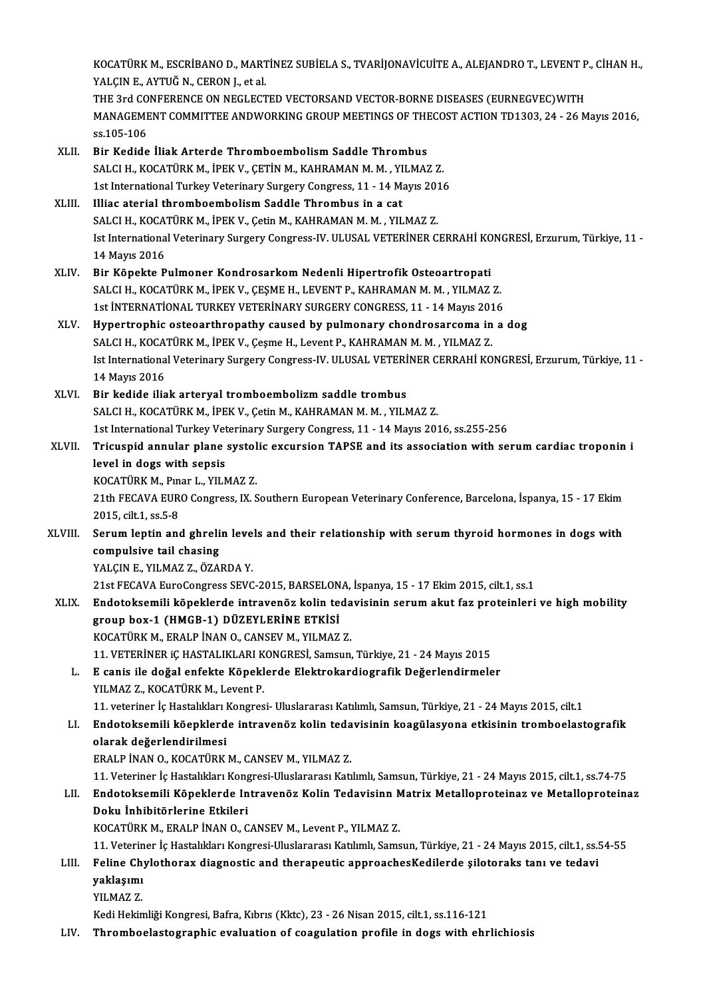KOCATÜRK M., ESCRİBANO D., MARTİNEZ SUBİELA S., TVARİJONAVİCUİTE A., ALEJANDRO T., LEVENT P., CİHAN H.,<br>XALÇIN E. AYTUĞ N. CERON L. STAL KOCATÜRK M., ESCRİBANO D., MART<br>YALÇIN E., AYTUĞ N., CERON J., et al.<br>THE 2nd CONEERENCE ON NECLECT KOCATÜRK M., ESCRİBANO D., MARTİNEZ SUBİELA S., TVARİJONAVİCUİTE A., ALEJANDRO T., LEVENT P<br>YALÇIN E., AYTUĞ N., CERON J., et al.<br>THE 3rd CONFERENCE ON NEGLECTED VECTORSAND VECTOR-BORNE DISEASES (EURNEGVEC)WITH<br>MANACEMENT YALÇIN E., AYTUĞ N., CERON J., et al.<br>THE 3rd CONFERENCE ON NEGLECTED VECTORSAND VECTOR-BORNE DISEASES (EURNEGVEC)WITH<br>MANAGEMENT COMMITTEE ANDWORKING GROUP MEETINGS OF THECOST ACTION TD1303, 24 - 26 Mayıs 2016,<br>ss.105-106 THE 3rd CONFERENCE ON NEGLECTED VECTORSAND VECTOR-BORNE DISEASES (EURNEGVEC) WITH XLII. Bir Kedide İliak Arterde Thromboembolism Saddle Thrombus ss.105-106<br>Bir Kedide İliak Arterde Thromboembolism Saddle Thrombus<br>SALCI H., KOCATÜRK M., İPEK V., ÇETİN M., KAHRAMAN M. M. , YILMAZ Z.<br>1st International Turkey Veterinery Surgery Congress 11 - 14 Mayıs 2014 Bir Kedide İliak Arterde Thromboembolism Saddle Thrombus<br>SALCI H., KOCATÜRK M., İPEK V., ÇETİN M., KAHRAMAN M. M. , YILMAZ Z.<br>1st International Turkey Veterinary Surgery Congress, 11 - 14 Mayıs 2016<br>Illiac atarial thromboe SALCI H., KOCATÜRK M., İPEK V., ÇETİN M., KAHRAMAN M. M., YI<br>1st International Turkey Veterinary Surgery Congress, 11 - 14 M.<br>XLIII. Illiac aterial thromboembolism Saddle Thrombus in a cat<br>5ALCLH VOCATÜRV M. İPEV V. COİN M 1st International Turkey Veterinary Surgery Congress, 11 - 14 Mayıs 201<br>Illiac aterial thromboembolism Saddle Thrombus in a cat<br>SALCI H., KOCATÜRK M., İPEK V., Çetin M., KAHRAMAN M. M. , YILMAZ Z.<br>Ist International Veterin Illiac aterial thromboembolism Saddle Thrombus in a cat<br>SALCI H., KOCATÜRK M., İPEK V., Çetin M., KAHRAMAN M. M. , YILMAZ Z.<br>Ist International Veterinary Surgery Congress-IV. ULUSAL VETERİNER CERRAHİ KONGRESİ, Erzurum, Tür SALCI H., KOCA<br>Ist Internationa<br>14 Mayıs 2016<br>Pir Könekte B XLIV. Bir Köpekte Pulmoner Kondrosarkom Nedenli Hipertrofik Osteoartropati SALCI H., KOCATÜRK M., İPEK V., ÇEŞME H., LEVENT P., KAHRAMAN M. M. , YILMAZ Z. Bir Köpekte Pulmoner Kondrosarkom Nedenli Hipertrofik Osteoartropati<br>SALCI H., KOCATÜRK M., İPEK V., ÇEŞME H., LEVENT P., KAHRAMAN M. M. , YILMAZ Z.<br>1st İNTERNATİONAL TURKEY VETERİNARY SURGERY CONGRESS, 11 - 14 Mayıs 2016<br> SALCI H., KOCATÜRK M., İPEK V., ÇEŞME H., LEVENT P., KAHRAMAN M. M., YILMAZ Z.<br>1st İNTERNATİONAL TURKEY VETERİNARY SURGERY CONGRESS, 11 - 14 Mayıs 2016<br>XLV. Hypertrophic osteoarthropathy caused by pulmonary chondrosarcoma 1st İNTERNATİONAL TURKEY VETERİNARY SURGERY CONGRESS, 11 - 14 Mayıs 201<br>Hypertrophic osteoarthropathy caused by pulmonary chondrosarcoma in<br>SALCI H., KOCATÜRK M., İPEK V., Çeşme H., Levent P., KAHRAMAN M. M. , YILMAZ Z.<br>Is Hypertrophic osteoarthropathy caused by pulmonary chondrosarcoma in a dog<br>SALCI H., KOCATÜRK M., İPEK V., Çeşme H., Levent P., KAHRAMAN M. M. , YILMAZ Z.<br>Ist International Veterinary Surgery Congress-IV. ULUSAL VETERİNER C 14 Mayıs 2016 XLVI. Bir kedide iliak arteryal tromboembolizmsaddle trombus SALCI H., KOCATÜRK M., İPEK V., Çetin M., KAHRAMAN M. M., YILMAZ Z. 1st InternationalTurkeyVeterinary SurgeryCongress,11 -14Mayıs2016, ss.255-256 SALCI H., KOCATÜRK M., İPEK V., Çetin M., KAHRAMAN M. M. , YILMAZ Z.<br>1st International Turkey Veterinary Surgery Congress, 11 - 14 Mayıs 2016, ss.255-256<br>XLVII. Tricuspid annular plane systolic excursion TAPSE and its 1st International Turkey Vet<br>Tricuspid annular plane<br>level in dogs with sepsis<br>VOCATUPK M. Purar L. VII N Tricuspid annular plane systol<br>level in dogs with sepsis<br>KOCATÜRK M., Pınar L., YILMAZ Z.<br>21th EECAVA EUBO CORTESSE IV S level in dogs with sepsis<br>KOCATÜRK M., Pınar L., YILMAZ Z.<br>21th FECAVA EURO Congress, IX. Southern European Veterinary Conference, Barcelona, İspanya, 15 - 17 Ekim<br>2015. cilt.1. ss.5-8 KOCATÜRK M., Pınar L., YILMAZ Z. 21th FECAVA EURO Congress, IX. Southern European Veterinary Conference, Barcelona, İspanya, 15 - 17 Ekim<br>2015, cilt.1, ss.5-8<br>XLVIII. Serum leptin and ghrelin levels and their relationship with serum thyroid hormones in do 2015, cilt.1, ss.5-8<br>Serum leptin and ghreli<br>compulsive tail chasing<br>YALCIN E. YU MAZ Z., ÖZAL Serum leptin and ghrelin leve<br>compulsive tail chasing<br>YALÇIN E., YILMAZ Z., ÖZARDA Y.<br>21st EECAVA EuroCongress SEVC compulsive tail chasing<br>21st FECAVA EuroCongress SEVC-2015, BARSELONA, İspanya, 15 - 17 Ekim 2015, cilt.1, ss.1<br>21st FECAVA EuroCongress SEVC-2015, BARSELONA, İspanya, 15 - 17 Ekim 2015, cilt.1, ss.1 YALÇIN E., YILMAZ Z., ÖZARDA Y.<br>21st FECAVA EuroCongress SEVC-2015, BARSELONA, İspanya, 15 - 17 Ekim 2015, cilt.1, ss.1<br>XLIX. Endotoksemili köpeklerde intravenöz kolin tedavisinin serum akut faz proteinleri ve high mob 21st FECAVA EuroCongress SEVC-2015, BARSELON<br>Endotoksemili köpeklerde intravenöz kolin te<br>group box-1 (HMGB-1) DÜZEYLERİNE ETKİSİ<br>KOCATÜPK M. ERALBİNAN Q. CANSEV M. YU MAZ Endotoksemili köpeklerde intravenöz kolin teda<br>group box-1 (HMGB-1) DÜZEYLERİNE ETKİSİ<br>KOCATÜRK M., ERALP İNAN O., CANSEV M., YILMAZ Z.<br>11 VETERİNER :CHASTALIKLARI KONCRESİ Samayr group box-1 (HMGB-1) DÜZEYLERİNE ETKİSİ<br>KOCATÜRK M., ERALP İNAN O., CANSEV M., YILMAZ Z.<br>11. VETERİNER iÇ HASTALIKLARI KONGRESİ, Samsun, Türkiye, 21 - 24 Mayıs 2015<br>E saniş ile dağal enfekte Köneklerde Elektrokordiosrefik KOCATÜRK M., ERALP İNAN O., CANSEV M., YILMAZ Z.<br>11. VETERİNER IÇ HASTALIKLARI KONGRESİ, Samsun, Türkiye, 21 - 24 Mayıs 2015<br>L. E canis ile doğal enfekte Köpeklerde Elektrokardiografik Değerlendirmeler<br>YILMAZ Z., KOCATÜRK 11. VETERİNER iÇ HASTALIKLARI K<br>E canis ile doğal enfekte Köpekl<br>YILMAZ Z., KOCATÜRK M., Levent P.<br>11. veteriner iş Hastalıkları Kongres E canis ile doğal enfekte Köpeklerde Elektrokardiografik Değerlendirmeler<br>YILMAZ Z., KOCATÜRK M., Levent P.<br>11. veteriner İç Hastalıkları Kongresi- Uluslararası Katılımlı, Samsun, Türkiye, 21 - 24 Mayıs 2015, cilt.1<br>Endete LI. Endotoksemili köepklerde intravenöz kolin tedavisinin koagülasyona etkisinin tromboelastografik 11. veteriner İç Hastalıkları I<br>Endotoksemili köepklerd<br>olarak değerlendirilmesi<br>EPALP İNAN O, KOCATÜPK ERALPİNANO.,KOCATÜRKM.,CANSEVM.,YILMAZ Z. 11. Veteriner İç Hastalıkları Kongresi-Uluslararası Katılımlı, Samsun, Türkiye, 21 - 24 Mayıs 2015, cilt.1, ss.74-75 ERALP İNAN 0., KOCATÜRK M., CANSEV M., YILMAZ Z.<br>11. Veteriner İç Hastalıkları Kongresi-Uluslararası Katılımlı, Samsun, Türkiye, 21 - 24 Mayıs 2015, cilt.1, ss.74-75<br>11. Endotoksemili Köpeklerde Intravenöz Kolin Tedavi 11. Veteriner İç Hastalıkları Kong<br>Endotoksemili Köpeklerde In<br>Doku İnhibitörlerine Etkileri<br>KOCATÜPK M. ERALP İNAN O. G Endotoksemili Köpeklerde Intravenöz Kolin Tedavisinn M<br>Doku İnhibitörlerine Etkileri<br>KOCATÜRK M., ERALP İNAN O., CANSEV M., Levent P., YILMAZ Z.<br>11 Veteriner is Hastalıları Konsresi Illuslararesı Katılımlı Same Doku İnhibitörlerine Etkileri<br>KOCATÜRK M., ERALP İNAN O., CANSEV M., Levent P., YILMAZ Z.<br>11. Veteriner İç Hastalıkları Kongresi-Uluslararası Katılımlı, Samsun, Türkiye, 21 - 24 Mayıs 2015, cilt.1, ss.54-55 LIII. Feline Chylothorax diagnostic and therapeutic approachesKedilerde şilotoraks tanı ve tedavi 11. Veterin<br>Feline Ch<sub>!</sub><br>yaklaşımı<br><sup>VII MA7 7</sup> Feline Ch<br>yaklaşımı<br>YILMAZ Z.<br>Kedi Helin YILMAZ Z.<br>Kedi Hekimliği Kongresi, Bafra, Kıbrıs (Kktc), 23 - 26 Nisan 2015, cilt.1, ss.116-121 LIV. Thromboelastographic evaluation of coagulation profile in dogs with ehrlichiosis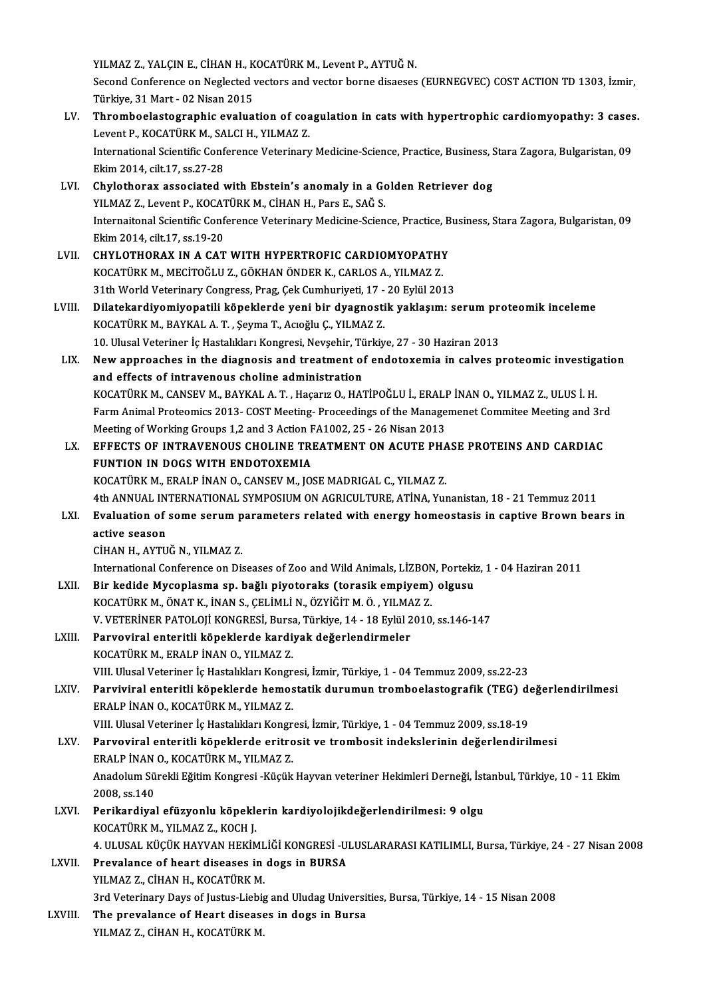YILMAZ Z., YALÇIN E., CİHAN H., KOCATÜRK M., Levent P., AYTUĞ N.

YILMAZ Z., YALÇIN E., CİHAN H., KOCATÜRK M., Levent P., AYTUĞ N.<br>Second Conference on Neglected vectors and vector borne disaeses (EURNEGVEC) COST ACTION TD 1303, İzmir,<br>Türkiye 21 Mart - 03 Nisan 2015 YILMAZ Z., YALÇIN E., CİHAN H., K<br>Second Conference on Neglected v<br>Türkiye, 31 Mart - 02 Nisan 2015<br>Thromboelestegraphia evalua Second Conference on Neglected vectors and vector borne disaeses (EURNEGVEC) COST ACTION TD 1303, İzmir,<br>Türkiye, 31 Mart - 02 Nisan 2015<br>LV. Thromboelastographic evaluation of coagulation in cats with hypertrophic cardiom

- Türkiye, 31 Mart 02 Nisan 2015<br>Thromboelastographic evaluation of coa<br>Levent P., KOCATÜRK M., SALCI H., YILMAZ Z.<br>International Scientific Conference Veterinery Thromboelastographic evaluation of coagulation in cats with hypertrophic cardiomyopathy: 3 cases<br>Levent P., KOCATÜRK M., SALCI H., YILMAZ Z.<br>International Scientific Conference Veterinary Medicine-Science, Practice, Busine Levent P., KOCATÜRK M., SALCI H., YILMAZ Z.<br>International Scientific Conference Veterinary Medicine-Science, Practice, Business, S.<br>Ekim 2014, cilt.17, ss.27-28<br>Chylothorax associated with Ebstein's anomaly in a Golden Ret International Scientific Conference Veterinary Medicine-Science, Practice, Business, Stara Zagora, Bulgaristan, 09<br>Ekim 2014, cilt.17, ss.27-28<br>LVI. Chylothorax associated with Ebstein's anomaly in a Golden Retriever dog
- YILMAZ Z., Levent P., KOCATÜRK M., CİHAN H., Pars E., SAĞ S. Chylothorax associated with Ebstein's anomaly in a Golden Retriever dog<br>YILMAZ Z., Levent P., KOCATÜRK M., CİHAN H., Pars E., SAĞ S.<br>Internaitonal Scientific Conference Veterinary Medicine-Science, Practice, Business, Star YILMAZ Z., Levent P., KOCAT<br>Internaitonal Scientific Conf<br>Ekim 2014, cilt.17, ss.19-20<br>CHVLOTHOBAY IN A CAT Ekim 2014, cilt.17, ss.19-20<br>LVII. CHYLOTHORAX IN A CAT WITH HYPERTROFIC CARDIOMYOPATHY
- KOCATÜRKM.,MECİTOĞLUZ.,GÖKHANÖNDERK.,CARLOSA.,YILMAZ Z. CHYLOTHORAX IN A CAT WITH HYPERTROFIC CARDIOMYOPATHY<br>KOCATÜRK M., MECİTOĞLU Z., GÖKHAN ÖNDER K., CARLOS A., YILMAZ Z.<br>31th World Veterinary Congress, Prag, Çek Cumhuriyeti, 17 - 20 Eylül 2013<br>Dilatekandiyamiyanatili könekl
- KOCATÜRK M., MECİTOĞLU Z., GÖKHAN ÖNDER K., CARLOS A., YILMAZ Z.<br>31th World Veterinary Congress, Prag, Çek Cumhuriyeti, 17 20 Eylül 2013<br>LVIII. Dilatekardiyomiyopatili köpeklerde yeni bir dyagnostik yaklaşım: serum p 31th World Veterinary Congress, Prag, Çek Cumhuriyeti, 17 -<br>Dilatekardiyomiyopatili köpeklerde yeni bir dyagnosti<br>KOCATÜRK M., BAYKAL A. T. , Şeyma T., Acıoğlu Ç., YILMAZ Z.<br>10 Ulucel Veteriner İs Hestalıklar Kongresi Nevs Dilatekardiyomiyopatili köpeklerde yeni bir dyagnostik yaklaşım: serum pro<br>KOCATÜRK M., BAYKAL A. T. , Şeyma T., Acıoğlu Ç., YILMAZ Z.<br>10. Ulusal Veteriner İç Hastalıkları Kongresi, Nevşehir, Türkiye, 27 - 30 Haziran 2013<br> 10. Ulusal Veteriner İç Hastalıkları Kongresi, Nevşehir, Türkiye, 27 - 30 Haziran 2013
- KOCATÜRK M., BAYKAL A. T. , Şeyma T., Acıoğlu Ç., YILMAZ Z.<br>10. Ulusal Veteriner İç Hastalıkları Kongresi, Nevşehir, Türkiye, 27 30 Haziran 2013<br>LIX. New approaches in the diagnosis and treatment of endotoxemia in ca New approaches in the diagnosis and treatment of endotoxemia in calves proteomic investige<br>and effects of intravenous choline administration<br>KOCATÜRK M., CANSEV M., BAYKAL A. T. , Haçarız O., HATİPOĞLU İ., ERALP İNAN O., Y and effects of intravenous choline administration<br>KOCATÜRK M., CANSEV M., BAYKAL A. T. , Haçarız O., HATİPOĞLU İ., ERALP İNAN O., YILMAZ Z., ULUS İ. H.<br>Farm Animal Proteomics 2013- COST Meeting- Proceedings of the Manageme KOCATÜRK M., CANSEV M., BAYKAL A. T. , Haçarız O., HATİPOĞLU İ., ERALI<br>Farm Animal Proteomics 2013- COST Meeting- Proceedings of the Manage<br>Meeting of Working Groups 1,2 and 3 Action FA1002, 25 - 26 Nisan 2013<br>FEERCTS OF I Farm Animal Proteomics 2013- COST Meeting-Proceedings of the Managemenet Commitee Meeting and 3rd<br>Meeting of Working Groups 1,2 and 3 Action FA1002, 25 - 26 Nisan 2013<br>LX. EFFECTS OF INTRAVENOUS CHOLINE TREATMENT ON ACUTE
- Meeting of Working Groups 1,2 and 3 Action F<br>EFFECTS OF INTRAVENOUS CHOLINE TRI<br>FUNTION IN DOGS WITH ENDOTOXEMIA<br>KOCATÜRK M. ERALB İNAN O. CANSEV M. 109 EFFECTS OF INTRAVENOUS CHOLINE TREATMENT ON ACUTE PHA<br>FUNTION IN DOGS WITH ENDOTOXEMIA<br>KOCATÜRK M., ERALP İNAN O., CANSEV M., JOSE MADRIGAL C., YILMAZ Z.<br>4th ANNUAL INTERNATIONAL SYMPOSUM ON ACRICIU TURE ATİNA Y... FUNTION IN DOGS WITH ENDOTOXEMIA<br>KOCATÜRK M., ERALP İNAN O., CANSEV M., JOSE MADRIGAL C., YILMAZ Z.<br>4th ANNUAL INTERNATIONAL SYMPOSIUM ON AGRICULTURE, ATİNA, Yunanistan, 18 - 21 Temmuz 2011 KOCATÜRK M., ERALP İNAN O., CANSEV M., JOSE MADRIGAL C., YILMAZ Z.<br>4th ANNUAL INTERNATIONAL SYMPOSIUM ON AGRICULTURE, ATİNA, Yunanistan, 18 - 21 Temmuz 2011<br>LXI. Evaluation of some serum parameters related with energy
- 4th ANNUAL IN<br>Evaluation of<br>active season<br>CiuAN H AVTU Evaluation of some serum p<br>active season<br>CİHAN H., AYTUĞ N., YILMAZ Z.<br>International Cenference en Dir active season<br>CİHAN H., AYTUĞ N., YILMAZ Z.<br>International Conference on Diseases of Zoo and Wild Animals, LİZBON, Portekiz, 1 - 04 Haziran 2011<br>Bin kodide Mysenlasma an, bağlı nivetaraks (tanasik əmniyam) olayev

- CİHAN H., AYTUĞ N., YILMAZ Z.<br>International Conference on Diseases of Zoo and Wild Animals, LİZBON, Porteki:<br>LXII. Bir kedide Mycoplasma sp. bağlı piyotoraks (torasik empiyem) olgusu<br>KOCATÜRK M. ÖNAT K. İNAN S. CELİMLİ N. Bir kedide Mycoplasma sp. bağlı piyotoraks (torasik empiyem) olgusu<br>KOCATÜRK M., ÖNAT K., İNAN S., ÇELİMLİ N., ÖZYİĞİT M. Ö., YILMAZ Z. V.VETERİNERPATOLOJİKONGRESİ,Bursa,Türkiye,14 -18Eylül2010, ss.146-147 KOCATÜRK M., ÖNAT K., İNAN S., ÇELİMLİ N., ÖZYİĞİT M. Ö., YILMA<br>V. VETERİNER PATOLOJİ KONGRESİ, Bursa, Türkiye, 14 - 18 Eylül 2<br>LXIII. Parvoviral enteritli köpeklerde kardiyak değerlendirmeler<br>KOCATÜPK M. ERALP İNAN O. YU
- V. VETERİNER PATOLOJİ KONGRESİ, Bursa<br><mark>Parvoviral enteritli köpeklerde kardi</mark><br>KOCATÜRK M., ERALP İNAN O., YILMAZ Z.<br>VIII. Illusel Veteriner İs Hestalılıları Konsr KOCATÜRK M., ERALP İNAN O., YILMAZ Z.<br>VIII. Ulusal Veteriner İç Hastalıkları Kongresi, İzmir, Türkiye, 1 - 04 Temmuz 2009, ss.22-23 KOCATÜRK M., ERALP İNAN O., YILMAZ Z.<br>1990) VIII. Ulusal Veteriner İç Hastalıkları Kongresi, İzmir, Türkiye, 1 - 04 Temmuz 2009, ss.22-23<br>1994 - ERALP İNAN O. KOCATÜRK M. VILMAZ Z
- ERALP İNAN O., KOCATÜRK M., YILMAZ Z.<br>VIII. Ulusal Veteriner İç Hastalıkları Kongresi, İzmir, Türkiye, 1 04 Temmuz 2009, ss.18-19 Parviviral enteritli köpeklerde hemostatik durumun tromboelastografik (TEG) de<br>ERALP İNAN O., KOCATÜRK M., YILMAZ Z.<br>VIII. Ulusal Veteriner İç Hastalıkları Kongresi, İzmir, Türkiye, 1 - 04 Temmuz 2009, ss.18-19<br>Parvoviral

- LXV. Parvoviral enteritli köpeklerde eritrosit ve trombosit indekslerinin değerlendirilmesi VIII. Ulusal Veteriner İç Hastalıkları Kongr<br><mark>Parvoviral enteritli köpeklerde eritro</mark><br>ERALP İNAN O., KOCATÜRK M., YILMAZ Z.<br>Anadolum Sürekli Fğitim Kongresi, Küsük Parvoviral enteritli köpeklerde eritrosit ve trombosit indekslerinin değerlendirilmesi<br>ERALP İNAN O., KOCATÜRK M., YILMAZ Z.<br>Anadolum Sürekli Eğitim Kongresi -Küçük Hayvan veteriner Hekimleri Derneği, İstanbul, Türkiye, 10 ERALP İNAN<br>Anadolum Sü<br>2008, ss.140<br>Perikandiya Anadolum Sürekli Eğitim Kongresi -Küçük Hayvan veteriner Hekimleri Derneği, İst<br>2008, ss.140<br>LXVI. Perikardiyal efüzyonlu köpeklerin kardiyolojikdeğerlendirilmesi: 9 olgu<br>2006 YOCATÜPEM, YUMAZ Z, YOCH I 2008, ss.140<br>LXVI. Perikardiyal efüzyonlu köpeklerin kardiyolojikdeğerlendirilmesi: 9 olgu<br>KOCATÜRK M., YILMAZ Z., KOCH I.
- Perikardiyal efüzyonlu köpeklerin kardiyolojikdeğerlendirilmesi: 9 olgu<br>KOCATÜRK M., YILMAZ Z., KOCH J.<br>4. ULUSAL KÜÇÜK HAYVAN HEKİMLİĞİ KONGRESİ -ULUSLARARASI KATILIMLI, Bursa, Türkiye, 24 27 Nisan 2008<br>Prevalanea of be
- LXVII. Prevalance of heart diseases in dogs in BURSA<br>YILMAZ Z., CİHAN H., KOCATÜRK M. 4. ULUSAL KÜÇÜK HAYVAN HEKİML<br>Prevalance of heart diseases in<br>YILMAZ Z., CİHAN H., KOCATÜRK M.<br><sup>2nd Vatarinary Daya of Justua Lisbia</sup> 3rd Veterinary Days of Justus-Liebig and Uludag Universities, Bursa, Türkiye, 14 - 15 Nisan 2008 YILMAZ Z., CİHAN H., KOCATÜRK M.<br>3rd Veterinary Days of Justus-Liebig and Uludag Universit<br>LXVIII. The prevalance of Heart diseases in dogs in Bursa<br>VILMAZ Z. CİHAN H. KOCATÜRK M.
- 3rd Veterinary Days of Justus-Liebig<br><mark>The prevalance of Heart diseas</mark><br>YILMAZ Z., CİHAN H., KOCATÜRK M.